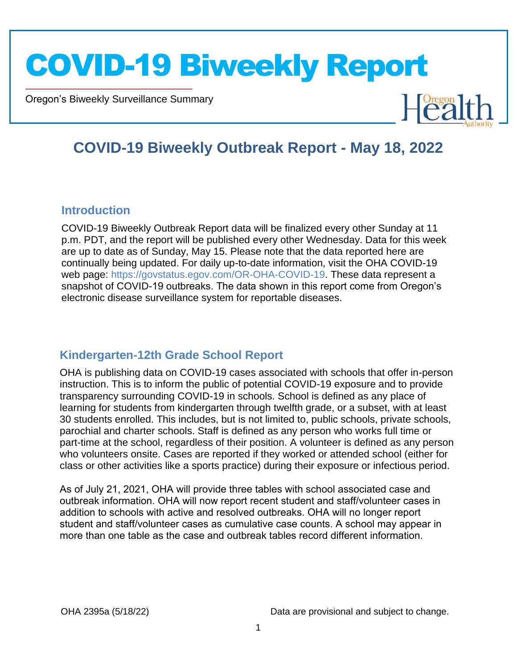Oregon's Biweekly Surveillance Summary



#### **COVID-19 Biweekly Outbreak Report - May 18, 2022**

#### **Introduction**

Novel Coronavirus (COVID-19)

COVID-19 Biweekly Outbreak Report data will be finalized every other Sunday at 11 p.m. PDT, and the report will be published every other Wednesday. Data for this week are up to date as of Sunday, May 15. Please note that the data reported here are continually being updated. For daily up-to-date information, visit the OHA COVID-19 web page: https://govstatus.egov.com/OR-OHA-COVID-19. These data represent a snapshot of COVID-19 outbreaks. The data shown in this report come from Oregon's electronic disease surveillance system for reportable diseases.

#### **Kindergarten-12th Grade School Report**

OHA is publishing data on COVID-19 cases associated with schools that offer in-person instruction. This is to inform the public of potential COVID-19 exposure and to provide transparency surrounding COVID-19 in schools. School is defined as any place of learning for students from kindergarten through twelfth grade, or a subset, with at least 30 students enrolled. This includes, but is not limited to, public schools, private schools, parochial and charter schools. Staff is defined as any person who works full time or part-time at the school, regardless of their position. A volunteer is defined as any person who volunteers onsite. Cases are reported if they worked or attended school (either for class or other activities like a sports practice) during their exposure or infectious period.

As of July 21, 2021, OHA will provide three tables with school associated case and outbreak information. OHA will now report recent student and staff/volunteer cases in addition to schools with active and resolved outbreaks. OHA will no longer report student and staff/volunteer cases as cumulative case counts. A school may appear in more than one table as the case and outbreak tables record different information.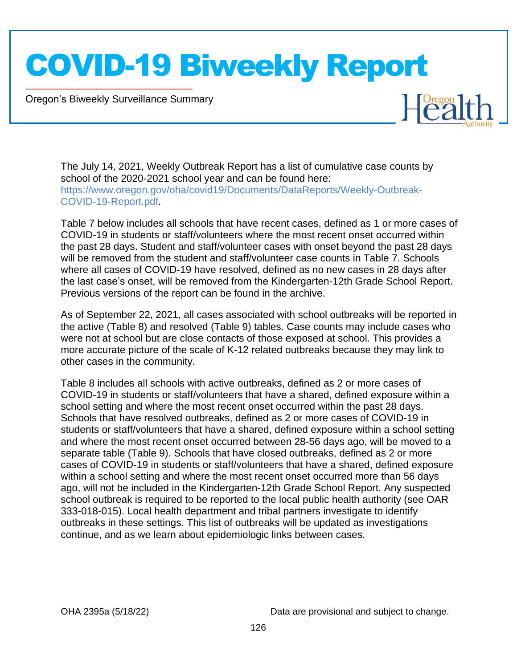Oregon's Biweekly Surveillance Summary

Novel Coronavirus (COVID-19)

The July 14, 2021, Weekly Outbreak Report has a list of cumulative case counts by school of the 2020-2021 school year and can be found here: https://www.oregon.gov/oha/covid19/Documents/DataReports/Weekly-Outbreak-COVID-19-Report.pdf.

Table 7 below includes all schools that have recent cases, defined as 1 or more cases of COVID-19 in students or staff/volunteers where the most recent onset occurred within the past 28 days. Student and staff/volunteer cases with onset beyond the past 28 days will be removed from the student and staff/volunteer case counts in Table 7. Schools where all cases of COVID-19 have resolved, defined as no new cases in 28 days after the last case's onset, will be removed from the Kindergarten-12th Grade School Report. Previous versions of the report can be found in the archive.

As of September 22, 2021, all cases associated with school outbreaks will be reported in the active (Table 8) and resolved (Table 9) tables. Case counts may include cases who were not at school but are close contacts of those exposed at school. This provides a more accurate picture of the scale of K-12 related outbreaks because they may link to other cases in the community.

Table 8 includes all schools with active outbreaks, defined as 2 or more cases of COVID-19 in students or staff/volunteers that have a shared, defined exposure within a school setting and where the most recent onset occurred within the past 28 days. Schools that have resolved outbreaks, defined as 2 or more cases of COVID-19 in students or staff/volunteers that have a shared, defined exposure within a school setting and where the most recent onset occurred between 28-56 days ago, will be moved to a separate table (Table 9). Schools that have closed outbreaks, defined as 2 or more cases of COVID-19 in students or staff/volunteers that have a shared, defined exposure within a school setting and where the most recent onset occurred more than 56 days ago, will not be included in the Kindergarten-12th Grade School Report. Any suspected school outbreak is required to be reported to the local public health authority (see OAR 333-018-015). Local health department and tribal partners investigate to identify outbreaks in these settings. This list of outbreaks will be updated as investigations continue, and as we learn about epidemiologic links between cases.

OHA 2395a (5/18/22) Data are provisional and subject to change.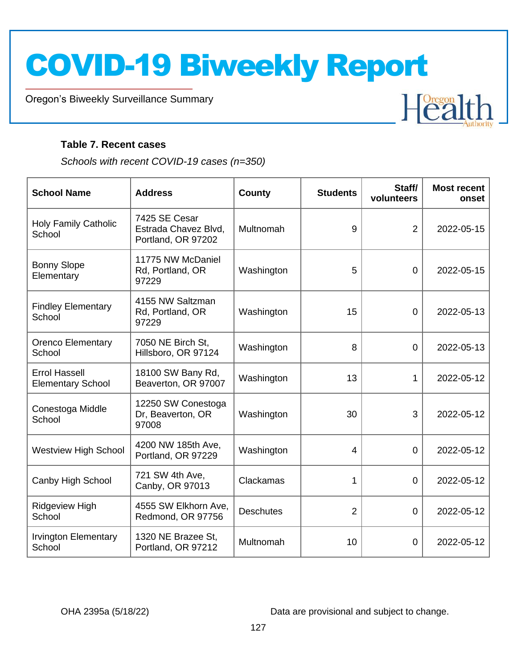Oregon's Biweekly Surveillance Summary

#### **Table 7. Recent cases**

Novel Coronavirus (COVID-19)

*Schools with recent COVID-19 cases (n=350)*

| <b>School Name</b>                               | <b>Address</b>                                              | <b>County</b>    | <b>Students</b> | Staff/<br>volunteers | <b>Most recent</b><br>onset |
|--------------------------------------------------|-------------------------------------------------------------|------------------|-----------------|----------------------|-----------------------------|
| <b>Holy Family Catholic</b><br>School            | 7425 SE Cesar<br>Estrada Chavez Blvd,<br>Portland, OR 97202 | Multnomah        | 9               | $\overline{2}$       | 2022-05-15                  |
| <b>Bonny Slope</b><br>Elementary                 | 11775 NW McDaniel<br>Rd, Portland, OR<br>97229              | Washington       | 5               | $\overline{0}$       | 2022-05-15                  |
| <b>Findley Elementary</b><br>School              | 4155 NW Saltzman<br>Rd, Portland, OR<br>97229               | Washington       | 15              | $\overline{0}$       | 2022-05-13                  |
| <b>Orenco Elementary</b><br>School               | 7050 NE Birch St.<br>Hillsboro, OR 97124                    | Washington       | 8               | $\overline{0}$       | 2022-05-13                  |
| <b>Errol Hassell</b><br><b>Elementary School</b> | 18100 SW Bany Rd,<br>Beaverton, OR 97007                    | Washington       | 13              | 1                    | 2022-05-12                  |
| Conestoga Middle<br>School                       | 12250 SW Conestoga<br>Dr, Beaverton, OR<br>97008            | Washington       | 30              | 3                    | 2022-05-12                  |
| <b>Westview High School</b>                      | 4200 NW 185th Ave,<br>Portland, OR 97229                    | Washington       | 4               | $\overline{0}$       | 2022-05-12                  |
| Canby High School                                | 721 SW 4th Ave,<br>Canby, OR 97013                          | Clackamas        | 1               | $\overline{0}$       | 2022-05-12                  |
| <b>Ridgeview High</b><br>School                  | 4555 SW Elkhorn Ave,<br>Redmond, OR 97756                   | <b>Deschutes</b> | $\overline{2}$  | $\overline{0}$       | 2022-05-12                  |
| <b>Irvington Elementary</b><br>School            | 1320 NE Brazee St,<br>Portland, OR 97212                    | Multnomah        | 10              | 0                    | 2022-05-12                  |

OHA 2395a (5/18/22) Data are provisional and subject to change.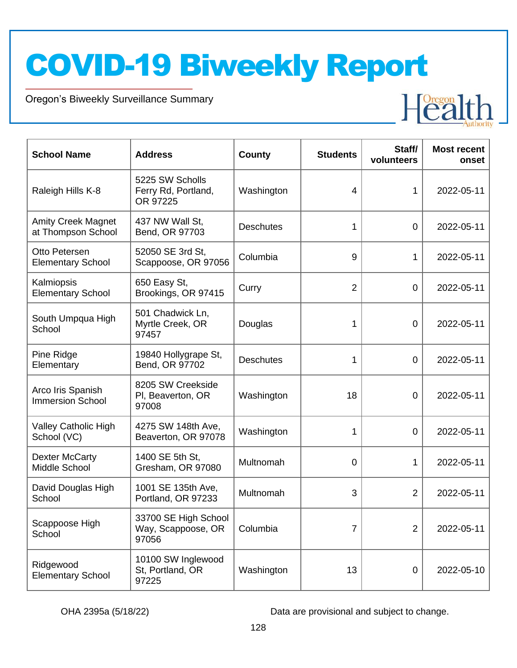Oregon's Biweekly Surveillance Summary

Novel Coronavirus (COVID-19)

| <b>School Name</b>                              | <b>Address</b>                                      | <b>County</b>    | <b>Students</b> | Staff/<br>volunteers | <b>Most recent</b><br>onset |
|-------------------------------------------------|-----------------------------------------------------|------------------|-----------------|----------------------|-----------------------------|
| Raleigh Hills K-8                               | 5225 SW Scholls<br>Ferry Rd, Portland,<br>OR 97225  | Washington       | 4               | 1                    | 2022-05-11                  |
| <b>Amity Creek Magnet</b><br>at Thompson School | 437 NW Wall St,<br>Bend, OR 97703                   | <b>Deschutes</b> | 1               | 0                    | 2022-05-11                  |
| Otto Petersen<br><b>Elementary School</b>       | 52050 SE 3rd St,<br>Scappoose, OR 97056             | Columbia         | 9               | 1                    | 2022-05-11                  |
| Kalmiopsis<br><b>Elementary School</b>          | 650 Easy St,<br>Brookings, OR 97415                 | Curry            | 2               | 0                    | 2022-05-11                  |
| South Umpqua High<br>School                     | 501 Chadwick Ln,<br>Myrtle Creek, OR<br>97457       | Douglas          | 1               | 0                    | 2022-05-11                  |
| Pine Ridge<br>Elementary                        | 19840 Hollygrape St,<br>Bend, OR 97702              | <b>Deschutes</b> | 1               | 0                    | 2022-05-11                  |
| Arco Iris Spanish<br><b>Immersion School</b>    | 8205 SW Creekside<br>PI, Beaverton, OR<br>97008     | Washington       | 18              | 0                    | 2022-05-11                  |
| Valley Catholic High<br>School (VC)             | 4275 SW 148th Ave,<br>Beaverton, OR 97078           | Washington       | 1               | 0                    | 2022-05-11                  |
| <b>Dexter McCarty</b><br>Middle School          | 1400 SE 5th St,<br>Gresham, OR 97080                | Multnomah        | 0               | 1                    | 2022-05-11                  |
| David Douglas High<br>School                    | 1001 SE 135th Ave,<br>Portland, OR 97233            | Multnomah        | 3               | $\overline{2}$       | 2022-05-11                  |
| Scappoose High<br>School                        | 33700 SE High School<br>Way, Scappoose, OR<br>97056 | Columbia         | 7               | $\overline{2}$       | 2022-05-11                  |
| Ridgewood<br><b>Elementary School</b>           | 10100 SW Inglewood<br>St, Portland, OR<br>97225     | Washington       | 13              | 0                    | 2022-05-10                  |

OHA 2395a (5/18/22) Data are provisional and subject to change.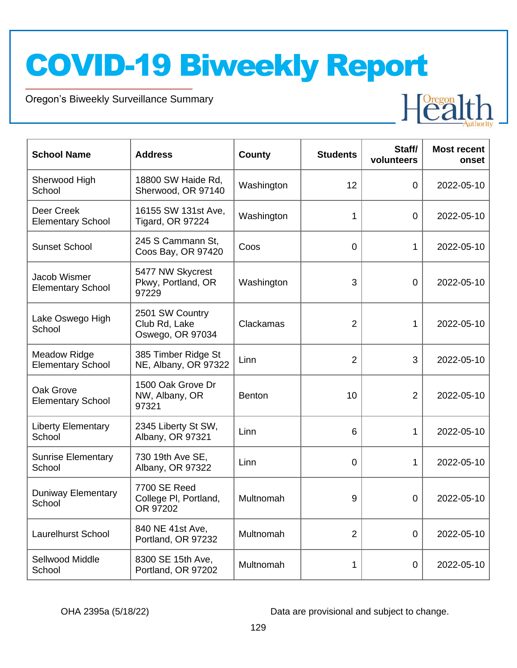Oregon's Biweekly Surveillance Summary

Novel Coronavirus (COVID-19)

| <b>School Name</b>                              | <b>Address</b>                                       | <b>County</b> | <b>Students</b> | Staff/<br>volunteers | <b>Most recent</b><br>onset |
|-------------------------------------------------|------------------------------------------------------|---------------|-----------------|----------------------|-----------------------------|
| Sherwood High<br>School                         | 18800 SW Haide Rd,<br>Sherwood, OR 97140             | Washington    | 12              | 0                    | 2022-05-10                  |
| Deer Creek<br><b>Elementary School</b>          | 16155 SW 131st Ave,<br><b>Tigard, OR 97224</b>       | Washington    | 1               | 0                    | 2022-05-10                  |
| <b>Sunset School</b>                            | 245 S Cammann St,<br>Coos Bay, OR 97420              | Coos          | 0               | 1                    | 2022-05-10                  |
| Jacob Wismer<br><b>Elementary School</b>        | 5477 NW Skycrest<br>Pkwy, Portland, OR<br>97229      | Washington    | 3               | 0                    | 2022-05-10                  |
| Lake Oswego High<br>School                      | 2501 SW Country<br>Club Rd, Lake<br>Oswego, OR 97034 | Clackamas     | $\overline{2}$  | 1.                   | 2022-05-10                  |
| <b>Meadow Ridge</b><br><b>Elementary School</b> | 385 Timber Ridge St<br>NE, Albany, OR 97322          | Linn          | 2               | 3                    | 2022-05-10                  |
| Oak Grove<br><b>Elementary School</b>           | 1500 Oak Grove Dr<br>NW, Albany, OR<br>97321         | <b>Benton</b> | 10              | $\overline{2}$       | 2022-05-10                  |
| <b>Liberty Elementary</b><br>School             | 2345 Liberty St SW,<br>Albany, OR 97321              | Linn          | 6               | 1                    | 2022-05-10                  |
| <b>Sunrise Elementary</b><br>School             | 730 19th Ave SE,<br>Albany, OR 97322                 | Linn          | 0               | 1                    | 2022-05-10                  |
| Duniway Elementary<br>School                    | 7700 SE Reed<br>College PI, Portland,<br>OR 97202    | Multnomah     | 9               | 0                    | 2022-05-10                  |
| <b>Laurelhurst School</b>                       | 840 NE 41st Ave,<br>Portland, OR 97232               | Multnomah     | $\overline{2}$  | 0                    | 2022-05-10                  |
| Sellwood Middle<br>School                       | 8300 SE 15th Ave,<br>Portland, OR 97202              | Multnomah     | 1               | 0                    | 2022-05-10                  |

OHA 2395a (5/18/22) Data are provisional and subject to change.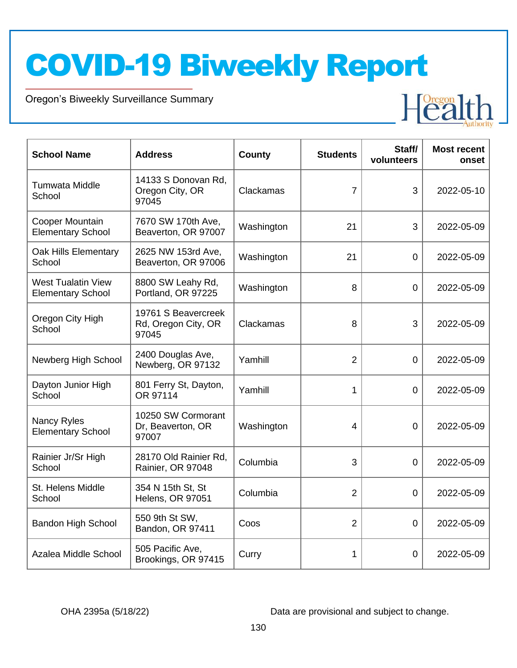Oregon's Biweekly Surveillance Summary

Novel Coronavirus (COVID-19)

| <b>School Name</b>                                    | <b>Address</b>                                      | County     | <b>Students</b> | Staff/<br>volunteers | <b>Most recent</b><br>onset |
|-------------------------------------------------------|-----------------------------------------------------|------------|-----------------|----------------------|-----------------------------|
| <b>Tumwata Middle</b><br>School                       | 14133 S Donovan Rd,<br>Oregon City, OR<br>97045     | Clackamas  | 7               | 3                    | 2022-05-10                  |
| <b>Cooper Mountain</b><br><b>Elementary School</b>    | 7670 SW 170th Ave,<br>Beaverton, OR 97007           | Washington | 21              | 3                    | 2022-05-09                  |
| <b>Oak Hills Elementary</b><br>School                 | 2625 NW 153rd Ave,<br>Beaverton, OR 97006           | Washington | 21              | $\overline{0}$       | 2022-05-09                  |
| <b>West Tualatin View</b><br><b>Elementary School</b> | 8800 SW Leahy Rd,<br>Portland, OR 97225             | Washington | 8               | 0                    | 2022-05-09                  |
| Oregon City High<br>School                            | 19761 S Beavercreek<br>Rd, Oregon City, OR<br>97045 | Clackamas  | 8               | 3                    | 2022-05-09                  |
| Newberg High School                                   | 2400 Douglas Ave,<br>Newberg, OR 97132              | Yamhill    | $\overline{2}$  | $\mathbf 0$          | 2022-05-09                  |
| Dayton Junior High<br>School                          | 801 Ferry St, Dayton,<br>OR 97114                   | Yamhill    | 1               | $\overline{0}$       | 2022-05-09                  |
| Nancy Ryles<br><b>Elementary School</b>               | 10250 SW Cormorant<br>Dr, Beaverton, OR<br>97007    | Washington | 4               | 0                    | 2022-05-09                  |
| Rainier Jr/Sr High<br>School                          | 28170 Old Rainier Rd,<br>Rainier, OR 97048          | Columbia   | 3               | $\overline{0}$       | 2022-05-09                  |
| St. Helens Middle<br>School                           | 354 N 15th St, St<br>Helens, OR 97051               | Columbia   | $\overline{2}$  | $\overline{0}$       | 2022-05-09                  |
| <b>Bandon High School</b>                             | 550 9th St SW,<br>Bandon, OR 97411                  | Coos       | $\overline{2}$  | 0                    | 2022-05-09                  |
| Azalea Middle School                                  | 505 Pacific Ave,<br>Brookings, OR 97415             | Curry      | 1               | $\overline{0}$       | 2022-05-09                  |

OHA 2395a (5/18/22) Data are provisional and subject to change.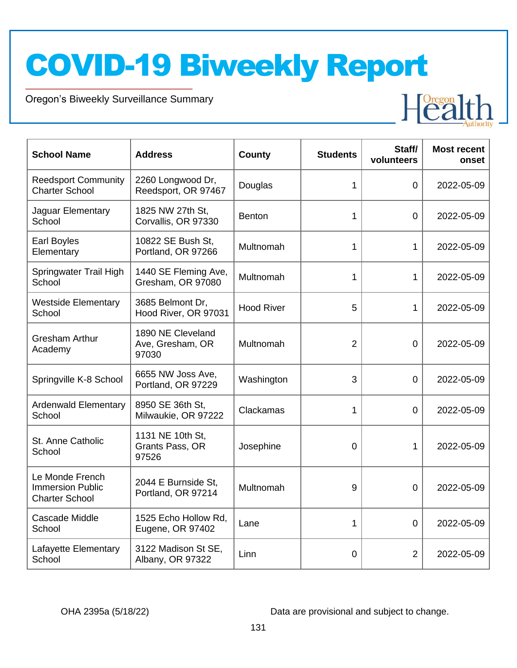Oregon's Biweekly Surveillance Summary

Novel Coronavirus (COVID-19)

| <b>School Name</b>                                                  | <b>Address</b>                                 | County            | <b>Students</b> | Staff/<br>volunteers | <b>Most recent</b><br>onset |
|---------------------------------------------------------------------|------------------------------------------------|-------------------|-----------------|----------------------|-----------------------------|
| <b>Reedsport Community</b><br><b>Charter School</b>                 | 2260 Longwood Dr,<br>Reedsport, OR 97467       | Douglas           | 1               | $\overline{0}$       | 2022-05-09                  |
| Jaguar Elementary<br>School                                         | 1825 NW 27th St.<br>Corvallis, OR 97330        | <b>Benton</b>     | 1               | $\overline{0}$       | 2022-05-09                  |
| <b>Earl Boyles</b><br>Elementary                                    | 10822 SE Bush St,<br>Portland, OR 97266        | Multnomah         | 1               | 1                    | 2022-05-09                  |
| Springwater Trail High<br>School                                    | 1440 SE Fleming Ave,<br>Gresham, OR 97080      | Multnomah         | 1               | 1                    | 2022-05-09                  |
| <b>Westside Elementary</b><br>School                                | 3685 Belmont Dr.<br>Hood River, OR 97031       | <b>Hood River</b> | 5               | 1                    | 2022-05-09                  |
| <b>Gresham Arthur</b><br>Academy                                    | 1890 NE Cleveland<br>Ave, Gresham, OR<br>97030 | Multnomah         | $\overline{2}$  | $\overline{0}$       | 2022-05-09                  |
| Springville K-8 School                                              | 6655 NW Joss Ave,<br>Portland, OR 97229        | Washington        | 3               | 0                    | 2022-05-09                  |
| <b>Ardenwald Elementary</b><br>School                               | 8950 SE 36th St.<br>Milwaukie, OR 97222        | Clackamas         | 1               | $\Omega$             | 2022-05-09                  |
| St. Anne Catholic<br>School                                         | 1131 NE 10th St,<br>Grants Pass, OR<br>97526   | Josephine         | 0               | 1                    | 2022-05-09                  |
| Le Monde French<br><b>Immersion Public</b><br><b>Charter School</b> | 2044 E Burnside St,<br>Portland, OR 97214      | Multnomah         | 9               | 0                    | 2022-05-09                  |
| Cascade Middle<br>School                                            | 1525 Echo Hollow Rd,<br>Eugene, OR 97402       | Lane              | 1               | $\overline{0}$       | 2022-05-09                  |
| Lafayette Elementary<br>School                                      | 3122 Madison St SE,<br>Albany, OR 97322        | Linn              | 0               | $\overline{2}$       | 2022-05-09                  |

OHA 2395a (5/18/22) Data are provisional and subject to change.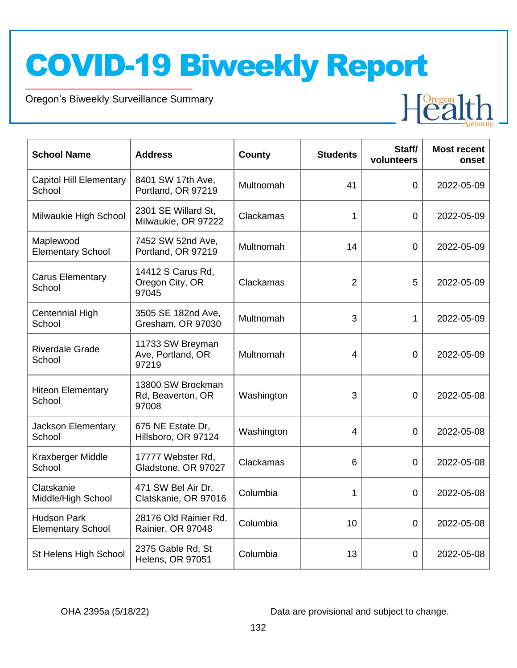Oregon's Biweekly Surveillance Summary

Novel Coronavirus (COVID-19)



| <b>School Name</b>                             | <b>Address</b>                                  | County     | <b>Students</b> | Staff/<br>volunteers | <b>Most recent</b><br>onset |
|------------------------------------------------|-------------------------------------------------|------------|-----------------|----------------------|-----------------------------|
| <b>Capitol Hill Elementary</b><br>School       | 8401 SW 17th Ave,<br>Portland, OR 97219         | Multnomah  | 41              | 0                    | 2022-05-09                  |
| Milwaukie High School                          | 2301 SE Willard St,<br>Milwaukie, OR 97222      | Clackamas  | 1               | $\mathbf 0$          | 2022-05-09                  |
| Maplewood<br><b>Elementary School</b>          | 7452 SW 52nd Ave,<br>Portland, OR 97219         | Multnomah  | 14              | $\mathbf 0$          | 2022-05-09                  |
| <b>Carus Elementary</b><br>School              | 14412 S Carus Rd,<br>Oregon City, OR<br>97045   | Clackamas  | $\overline{2}$  | 5                    | 2022-05-09                  |
| Centennial High<br>School                      | 3505 SE 182nd Ave,<br>Gresham, OR 97030         | Multnomah  | 3               | 1                    | 2022-05-09                  |
| <b>Riverdale Grade</b><br>School               | 11733 SW Breyman<br>Ave, Portland, OR<br>97219  | Multnomah  | 4               | $\overline{0}$       | 2022-05-09                  |
| <b>Hiteon Elementary</b><br>School             | 13800 SW Brockman<br>Rd, Beaverton, OR<br>97008 | Washington | 3               | $\overline{0}$       | 2022-05-08                  |
| <b>Jackson Elementary</b><br>School            | 675 NE Estate Dr,<br>Hillsboro, OR 97124        | Washington | 4               | 0                    | 2022-05-08                  |
| Kraxberger Middle<br>School                    | 17777 Webster Rd,<br>Gladstone, OR 97027        | Clackamas  | 6               | 0                    | 2022-05-08                  |
| Clatskanie<br>Middle/High School               | 471 SW Bel Air Dr,<br>Clatskanie, OR 97016      | Columbia   | 1               | $\mathbf 0$          | 2022-05-08                  |
| <b>Hudson Park</b><br><b>Elementary School</b> | 28176 Old Rainier Rd,<br>Rainier, OR 97048      | Columbia   | 10              | $\Omega$             | 2022-05-08                  |
| St Helens High School                          | 2375 Gable Rd, St<br><b>Helens, OR 97051</b>    | Columbia   | 13              | 0                    | 2022-05-08                  |

OHA 2395a (5/18/22) Data are provisional and subject to change.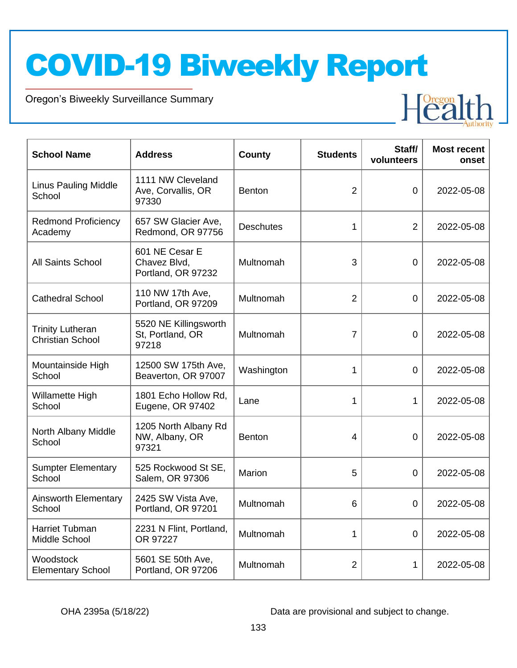Oregon's Biweekly Surveillance Summary

Novel Coronavirus (COVID-19)

| <b>School Name</b>                                 | <b>Address</b>                                       | County           | <b>Students</b> | Staff/<br>volunteers | <b>Most recent</b><br>onset |
|----------------------------------------------------|------------------------------------------------------|------------------|-----------------|----------------------|-----------------------------|
| Linus Pauling Middle<br>School                     | 1111 NW Cleveland<br>Ave, Corvallis, OR<br>97330     | <b>Benton</b>    | $\overline{2}$  | $\overline{0}$       | 2022-05-08                  |
| <b>Redmond Proficiency</b><br>Academy              | 657 SW Glacier Ave,<br>Redmond, OR 97756             | <b>Deschutes</b> | 1               | $\overline{2}$       | 2022-05-08                  |
| <b>All Saints School</b>                           | 601 NE Cesar E<br>Chavez Blvd,<br>Portland, OR 97232 | Multnomah        | 3               | $\overline{0}$       | 2022-05-08                  |
| <b>Cathedral School</b>                            | 110 NW 17th Ave.<br>Portland, OR 97209               | Multnomah        | $\overline{2}$  | 0                    | 2022-05-08                  |
| <b>Trinity Lutheran</b><br><b>Christian School</b> | 5520 NE Killingsworth<br>St, Portland, OR<br>97218   | Multnomah        | 7               | 0                    | 2022-05-08                  |
| Mountainside High<br>School                        | 12500 SW 175th Ave,<br>Beaverton, OR 97007           | Washington       | 1               | $\mathbf 0$          | 2022-05-08                  |
| Willamette High<br>School                          | 1801 Echo Hollow Rd,<br>Eugene, OR 97402             | Lane             | 1               | 1                    | 2022-05-08                  |
| North Albany Middle<br>School                      | 1205 North Albany Rd<br>NW, Albany, OR<br>97321      | <b>Benton</b>    | $\overline{4}$  | 0                    | 2022-05-08                  |
| <b>Sumpter Elementary</b><br>School                | 525 Rockwood St SE,<br>Salem, OR 97306               | Marion           | 5               | $\Omega$             | 2022-05-08                  |
| <b>Ainsworth Elementary</b><br>School              | 2425 SW Vista Ave,<br>Portland, OR 97201             | Multnomah        | 6               | 0                    | 2022-05-08                  |
| Harriet Tubman<br>Middle School                    | 2231 N Flint, Portland,<br>OR 97227                  | Multnomah        | 1               | 0                    | 2022-05-08                  |
| Woodstock<br><b>Elementary School</b>              | 5601 SE 50th Ave,<br>Portland, OR 97206              | Multnomah        | $\overline{2}$  | 1                    | 2022-05-08                  |

OHA 2395a (5/18/22) Data are provisional and subject to change.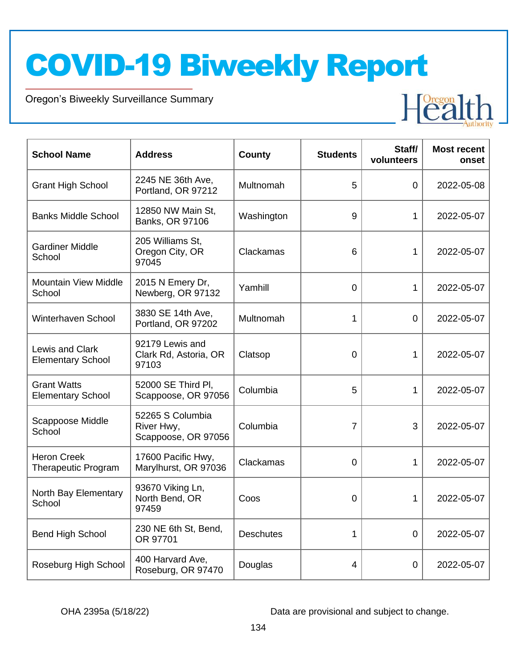Oregon's Biweekly Surveillance Summary

Novel Coronavirus (COVID-19)

| <b>School Name</b>                               | <b>Address</b>                                        | County           | <b>Students</b> | Staff/<br>volunteers | <b>Most recent</b><br>onset |
|--------------------------------------------------|-------------------------------------------------------|------------------|-----------------|----------------------|-----------------------------|
| <b>Grant High School</b>                         | 2245 NE 36th Ave,<br>Portland, OR 97212               | Multnomah        | 5               | 0                    | 2022-05-08                  |
| <b>Banks Middle School</b>                       | 12850 NW Main St,<br>Banks, OR 97106                  | Washington       | 9               | 1                    | 2022-05-07                  |
| <b>Gardiner Middle</b><br>School                 | 205 Williams St,<br>Oregon City, OR<br>97045          | Clackamas        | 6               | 1                    | 2022-05-07                  |
| <b>Mountain View Middle</b><br>School            | 2015 N Emery Dr,<br>Newberg, OR 97132                 | Yamhill          | 0               | 1                    | 2022-05-07                  |
| Winterhaven School                               | 3830 SE 14th Ave,<br>Portland, OR 97202               | Multnomah        | 1               | 0                    | 2022-05-07                  |
| Lewis and Clark<br><b>Elementary School</b>      | 92179 Lewis and<br>Clark Rd, Astoria, OR<br>97103     | Clatsop          | 0               | 1                    | 2022-05-07                  |
| <b>Grant Watts</b><br><b>Elementary School</b>   | 52000 SE Third PI,<br>Scappoose, OR 97056             | Columbia         | 5               | 1                    | 2022-05-07                  |
| Scappoose Middle<br>School                       | 52265 S Columbia<br>River Hwy,<br>Scappoose, OR 97056 | Columbia         | $\overline{7}$  | 3                    | 2022-05-07                  |
| <b>Heron Creek</b><br><b>Therapeutic Program</b> | 17600 Pacific Hwy,<br>Marylhurst, OR 97036            | Clackamas        | 0               | 1                    | 2022-05-07                  |
| North Bay Elementary<br>School                   | 93670 Viking Ln,<br>North Bend, OR<br>97459           | Coos             | 0               | 1                    | 2022-05-07                  |
| <b>Bend High School</b>                          | 230 NE 6th St, Bend,<br>OR 97701                      | <b>Deschutes</b> | 1               | $\mathbf 0$          | 2022-05-07                  |
| Roseburg High School                             | 400 Harvard Ave,<br>Roseburg, OR 97470                | Douglas          | 4               | 0                    | 2022-05-07                  |

OHA 2395a (5/18/22) Data are provisional and subject to change.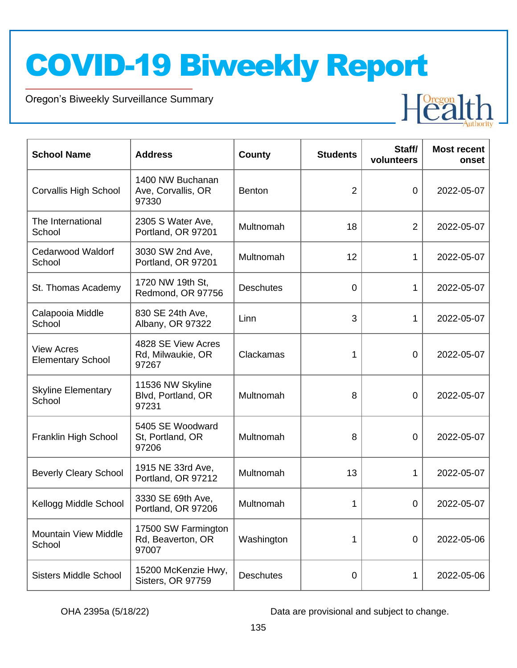Oregon's Biweekly Surveillance Summary

Novel Coronavirus (COVID-19)

| <b>School Name</b>                            | <b>Address</b>                                    | County           | <b>Students</b> | Staff/<br>volunteers | <b>Most recent</b><br>onset |
|-----------------------------------------------|---------------------------------------------------|------------------|-----------------|----------------------|-----------------------------|
| <b>Corvallis High School</b>                  | 1400 NW Buchanan<br>Ave, Corvallis, OR<br>97330   | <b>Benton</b>    | 2               | 0                    | 2022-05-07                  |
| The International<br>School                   | 2305 S Water Ave,<br>Portland, OR 97201           | Multnomah        | 18              | $\overline{2}$       | 2022-05-07                  |
| <b>Cedarwood Waldorf</b><br>School            | 3030 SW 2nd Ave,<br>Portland, OR 97201            | Multnomah        | 12              | 1                    | 2022-05-07                  |
| St. Thomas Academy                            | 1720 NW 19th St,<br>Redmond, OR 97756             | <b>Deschutes</b> | 0               | 1                    | 2022-05-07                  |
| Calapooia Middle<br>School                    | 830 SE 24th Ave,<br>Albany, OR 97322              | Linn             | 3               | 1                    | 2022-05-07                  |
| <b>View Acres</b><br><b>Elementary School</b> | 4828 SE View Acres<br>Rd, Milwaukie, OR<br>97267  | Clackamas        | 1               | $\mathbf 0$          | 2022-05-07                  |
| <b>Skyline Elementary</b><br>School           | 11536 NW Skyline<br>Blvd, Portland, OR<br>97231   | Multnomah        | 8               | 0                    | 2022-05-07                  |
| Franklin High School                          | 5405 SE Woodward<br>St, Portland, OR<br>97206     | Multnomah        | 8               | 0                    | 2022-05-07                  |
| <b>Beverly Cleary School</b>                  | 1915 NE 33rd Ave,<br>Portland, OR 97212           | Multnomah        | 13              | 1                    | 2022-05-07                  |
| Kellogg Middle School                         | 3330 SE 69th Ave,<br>Portland, OR 97206           | Multnomah        | 1               | 0                    | 2022-05-07                  |
| <b>Mountain View Middle</b><br>School         | 17500 SW Farmington<br>Rd, Beaverton, OR<br>97007 | Washington       | 1               | 0                    | 2022-05-06                  |
| <b>Sisters Middle School</b>                  | 15200 McKenzie Hwy,<br>Sisters, OR 97759          | <b>Deschutes</b> | 0               | 1                    | 2022-05-06                  |

OHA 2395a (5/18/22) Data are provisional and subject to change.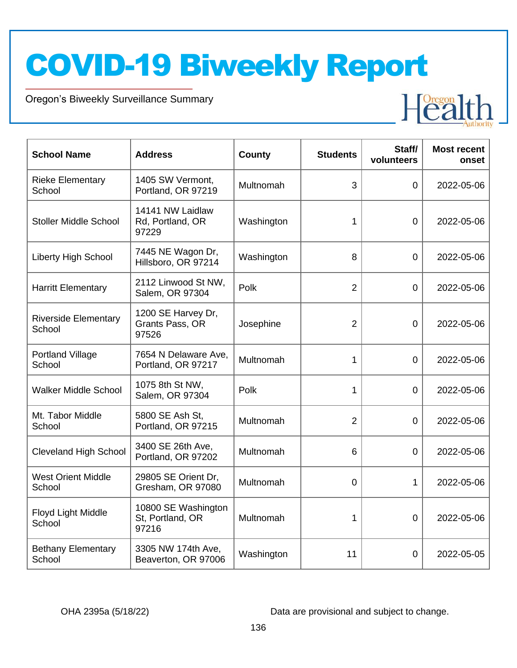Oregon's Biweekly Surveillance Summary

Novel Coronavirus (COVID-19)

| <b>School Name</b>                    | <b>Address</b>                                   | <b>County</b> | <b>Students</b> | Staff/<br>volunteers | <b>Most recent</b><br>onset |
|---------------------------------------|--------------------------------------------------|---------------|-----------------|----------------------|-----------------------------|
| <b>Rieke Elementary</b><br>School     | 1405 SW Vermont,<br>Portland, OR 97219           | Multnomah     | 3               | $\Omega$             | 2022-05-06                  |
| <b>Stoller Middle School</b>          | 14141 NW Laidlaw<br>Rd, Portland, OR<br>97229    | Washington    | 1               | $\overline{0}$       | 2022-05-06                  |
| Liberty High School                   | 7445 NE Wagon Dr,<br>Hillsboro, OR 97214         | Washington    | 8               | $\overline{0}$       | 2022-05-06                  |
| <b>Harritt Elementary</b>             | 2112 Linwood St NW,<br>Salem, OR 97304           | Polk          | $\overline{2}$  | $\overline{0}$       | 2022-05-06                  |
| <b>Riverside Elementary</b><br>School | 1200 SE Harvey Dr,<br>Grants Pass, OR<br>97526   | Josephine     | $\overline{2}$  | $\overline{0}$       | 2022-05-06                  |
| <b>Portland Village</b><br>School     | 7654 N Delaware Ave,<br>Portland, OR 97217       | Multnomah     | 1               | $\Omega$             | 2022-05-06                  |
| <b>Walker Middle School</b>           | 1075 8th St NW,<br>Salem, OR 97304               | Polk          | 1               | $\overline{0}$       | 2022-05-06                  |
| Mt. Tabor Middle<br>School            | 5800 SE Ash St,<br>Portland, OR 97215            | Multnomah     | $\overline{2}$  | 0                    | 2022-05-06                  |
| <b>Cleveland High School</b>          | 3400 SE 26th Ave,<br>Portland, OR 97202          | Multnomah     | 6               | $\overline{0}$       | 2022-05-06                  |
| <b>West Orient Middle</b><br>School   | 29805 SE Orient Dr,<br>Gresham, OR 97080         | Multnomah     | 0               | $\mathbf{1}$         | 2022-05-06                  |
| Floyd Light Middle<br>School          | 10800 SE Washington<br>St, Portland, OR<br>97216 | Multnomah     | 1               | $\overline{0}$       | 2022-05-06                  |
| <b>Bethany Elementary</b><br>School   | 3305 NW 174th Ave,<br>Beaverton, OR 97006        | Washington    | 11              | 0                    | 2022-05-05                  |

OHA 2395a (5/18/22) Data are provisional and subject to change.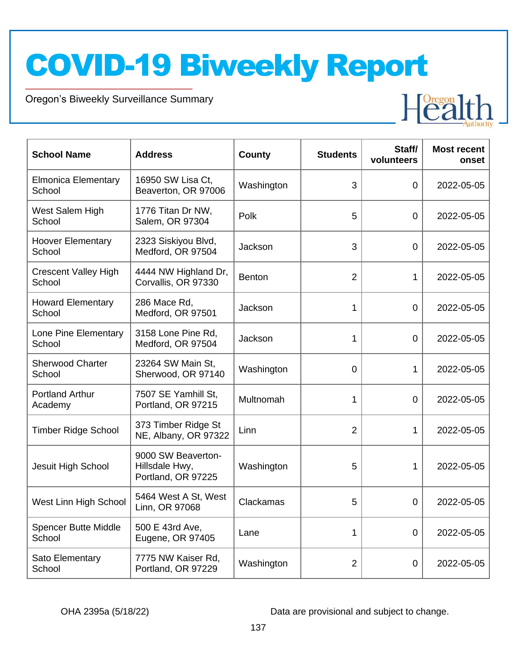Oregon's Biweekly Surveillance Summary

Novel Coronavirus (COVID-19)

| <b>School Name</b>                    | <b>Address</b>                                             | County        | <b>Students</b> | Staff/<br>volunteers | <b>Most recent</b><br>onset |
|---------------------------------------|------------------------------------------------------------|---------------|-----------------|----------------------|-----------------------------|
| <b>Elmonica Elementary</b><br>School  | 16950 SW Lisa Ct.<br>Beaverton, OR 97006                   | Washington    | 3               | 0                    | 2022-05-05                  |
| West Salem High<br>School             | 1776 Titan Dr NW,<br>Salem, OR 97304                       | Polk          | 5               | 0                    | 2022-05-05                  |
| <b>Hoover Elementary</b><br>School    | 2323 Siskiyou Blvd,<br>Medford, OR 97504                   | Jackson       | 3               | 0                    | 2022-05-05                  |
| <b>Crescent Valley High</b><br>School | 4444 NW Highland Dr,<br>Corvallis, OR 97330                | <b>Benton</b> | $\overline{2}$  | 1                    | 2022-05-05                  |
| <b>Howard Elementary</b><br>School    | 286 Mace Rd,<br>Medford, OR 97501                          | Jackson       | 1               | 0                    | 2022-05-05                  |
| Lone Pine Elementary<br>School        | 3158 Lone Pine Rd,<br>Medford, OR 97504                    | Jackson       | 1               | 0                    | 2022-05-05                  |
| <b>Sherwood Charter</b><br>School     | 23264 SW Main St,<br>Sherwood, OR 97140                    | Washington    | 0               | 1                    | 2022-05-05                  |
| <b>Portland Arthur</b><br>Academy     | 7507 SE Yamhill St,<br>Portland, OR 97215                  | Multnomah     | 1               | 0                    | 2022-05-05                  |
| <b>Timber Ridge School</b>            | 373 Timber Ridge St<br>NE, Albany, OR 97322                | Linn          | $\overline{2}$  | 1                    | 2022-05-05                  |
| Jesuit High School                    | 9000 SW Beaverton-<br>Hillsdale Hwy,<br>Portland, OR 97225 | Washington    | 5               | 1                    | 2022-05-05                  |
| West Linn High School                 | 5464 West A St, West<br>Linn, OR 97068                     | Clackamas     | 5               | 0                    | 2022-05-05                  |
| Spencer Butte Middle<br>School        | 500 E 43rd Ave,<br>Eugene, OR 97405                        | Lane          | 1               | 0                    | 2022-05-05                  |
| Sato Elementary<br>School             | 7775 NW Kaiser Rd,<br>Portland, OR 97229                   | Washington    | $\overline{2}$  | 0                    | 2022-05-05                  |

OHA 2395a (5/18/22) Data are provisional and subject to change.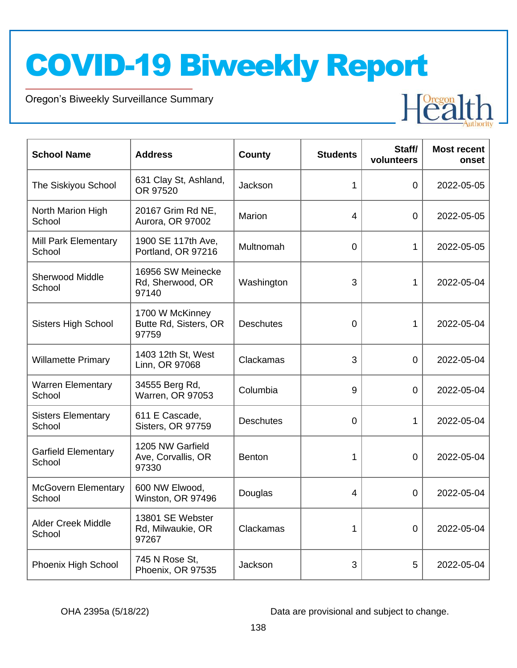Oregon's Biweekly Surveillance Summary

Novel Coronavirus (COVID-19)

| <b>School Name</b>                   | <b>Address</b>                                    | <b>County</b>    | <b>Students</b> | Staff/<br>volunteers | <b>Most recent</b><br>onset |
|--------------------------------------|---------------------------------------------------|------------------|-----------------|----------------------|-----------------------------|
| The Siskiyou School                  | 631 Clay St, Ashland,<br>OR 97520                 | Jackson          | 1               | $\Omega$             | 2022-05-05                  |
| North Marion High<br>School          | 20167 Grim Rd NE,<br>Aurora, OR 97002             | Marion           | 4               | $\Omega$             | 2022-05-05                  |
| Mill Park Elementary<br>School       | 1900 SE 117th Ave,<br>Portland, OR 97216          | Multnomah        | 0               | 1                    | 2022-05-05                  |
| <b>Sherwood Middle</b><br>School     | 16956 SW Meinecke<br>Rd, Sherwood, OR<br>97140    | Washington       | 3               | $\mathbf 1$          | 2022-05-04                  |
| <b>Sisters High School</b>           | 1700 W McKinney<br>Butte Rd, Sisters, OR<br>97759 | <b>Deschutes</b> | 0               | 1                    | 2022-05-04                  |
| <b>Willamette Primary</b>            | 1403 12th St, West<br>Linn, OR 97068              | Clackamas        | 3               | $\overline{0}$       | 2022-05-04                  |
| <b>Warren Elementary</b><br>School   | 34555 Berg Rd,<br><b>Warren, OR 97053</b>         | Columbia         | 9               | 0                    | 2022-05-04                  |
| <b>Sisters Elementary</b><br>School  | 611 E Cascade,<br>Sisters, OR 97759               | <b>Deschutes</b> | 0               | $\mathbf{1}$         | 2022-05-04                  |
| <b>Garfield Elementary</b><br>School | 1205 NW Garfield<br>Ave, Corvallis, OR<br>97330   | <b>Benton</b>    | 1               | $\overline{0}$       | 2022-05-04                  |
| <b>McGovern Elementary</b><br>School | 600 NW Elwood,<br>Winston, OR 97496               | Douglas          | 4               | 0                    | 2022-05-04                  |
| <b>Alder Creek Middle</b><br>School  | 13801 SE Webster<br>Rd, Milwaukie, OR<br>97267    | Clackamas        | 1               | 0                    | 2022-05-04                  |
| Phoenix High School                  | 745 N Rose St,<br>Phoenix, OR 97535               | Jackson          | 3               | 5                    | 2022-05-04                  |

OHA 2395a (5/18/22) Data are provisional and subject to change.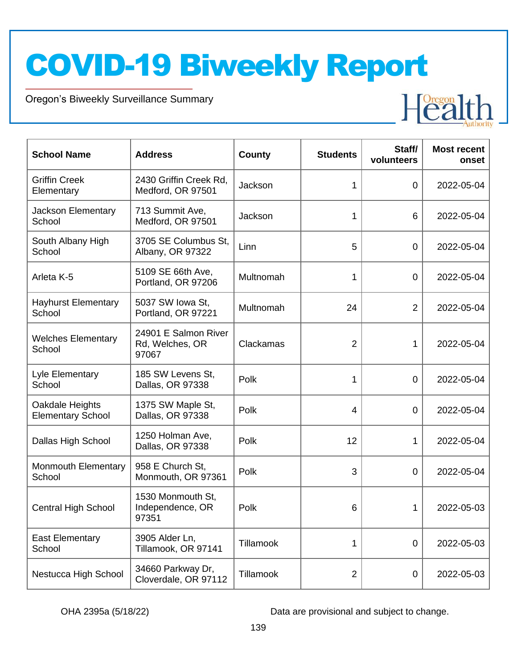Oregon's Biweekly Surveillance Summary

Novel Coronavirus (COVID-19)

| <b>School Name</b>                          | <b>Address</b>                                   | County           | <b>Students</b> | Staff/<br>volunteers | <b>Most recent</b><br>onset |
|---------------------------------------------|--------------------------------------------------|------------------|-----------------|----------------------|-----------------------------|
| <b>Griffin Creek</b><br>Elementary          | 2430 Griffin Creek Rd,<br>Medford, OR 97501      | Jackson          | 1               | $\mathbf 0$          | 2022-05-04                  |
| Jackson Elementary<br>School                | 713 Summit Ave,<br>Medford, OR 97501             | Jackson          | 1               | 6                    | 2022-05-04                  |
| South Albany High<br>School                 | 3705 SE Columbus St,<br>Albany, OR 97322         | Linn             | 5               | $\overline{0}$       | 2022-05-04                  |
| Arleta K-5                                  | 5109 SE 66th Ave,<br>Portland, OR 97206          | Multnomah        | 1               | $\overline{0}$       | 2022-05-04                  |
| <b>Hayhurst Elementary</b><br>School        | 5037 SW Iowa St,<br>Portland, OR 97221           | Multnomah        | 24              | $\overline{2}$       | 2022-05-04                  |
| <b>Welches Elementary</b><br>School         | 24901 E Salmon River<br>Rd, Welches, OR<br>97067 | Clackamas        | 2               | 1                    | 2022-05-04                  |
| Lyle Elementary<br>School                   | 185 SW Levens St,<br>Dallas, OR 97338            | Polk             | 1               | $\mathbf 0$          | 2022-05-04                  |
| Oakdale Heights<br><b>Elementary School</b> | 1375 SW Maple St,<br>Dallas, OR 97338            | Polk             | 4               | $\mathbf 0$          | 2022-05-04                  |
| Dallas High School                          | 1250 Holman Ave,<br>Dallas, OR 97338             | Polk             | 12              | 1                    | 2022-05-04                  |
| <b>Monmouth Elementary</b><br>School        | 958 E Church St,<br>Monmouth, OR 97361           | Polk             | 3               | 0                    | 2022-05-04                  |
| <b>Central High School</b>                  | 1530 Monmouth St,<br>Independence, OR<br>97351   | Polk             | 6               | 1                    | 2022-05-03                  |
| <b>East Elementary</b><br>School            | 3905 Alder Ln,<br>Tillamook, OR 97141            | <b>Tillamook</b> | 1               | $\mathbf 0$          | 2022-05-03                  |
| Nestucca High School                        | 34660 Parkway Dr,<br>Cloverdale, OR 97112        | Tillamook        | $\overline{2}$  | 0                    | 2022-05-03                  |

OHA 2395a (5/18/22) Data are provisional and subject to change.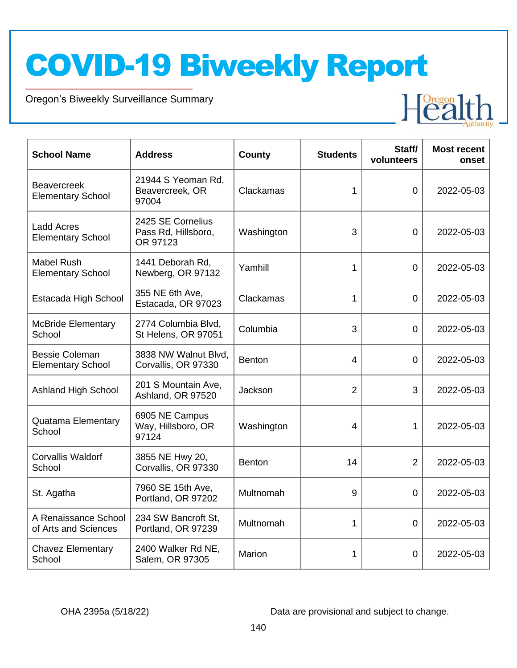Oregon's Biweekly Surveillance Summary

Novel Coronavirus (COVID-19)

| <b>School Name</b>                                | <b>Address</b>                                       | <b>County</b> | <b>Students</b> | Staff/<br>volunteers | <b>Most recent</b><br>onset |
|---------------------------------------------------|------------------------------------------------------|---------------|-----------------|----------------------|-----------------------------|
| <b>Beavercreek</b><br><b>Elementary School</b>    | 21944 S Yeoman Rd,<br>Beavercreek, OR<br>97004       | Clackamas     | 1               | $\Omega$             | 2022-05-03                  |
| <b>Ladd Acres</b><br><b>Elementary School</b>     | 2425 SE Cornelius<br>Pass Rd, Hillsboro,<br>OR 97123 | Washington    | 3               | $\overline{0}$       | 2022-05-03                  |
| <b>Mabel Rush</b><br><b>Elementary School</b>     | 1441 Deborah Rd,<br>Newberg, OR 97132                | Yamhill       | 1               | $\overline{0}$       | 2022-05-03                  |
| Estacada High School                              | 355 NE 6th Ave,<br>Estacada, OR 97023                | Clackamas     | 1               | $\overline{0}$       | 2022-05-03                  |
| <b>McBride Elementary</b><br>School               | 2774 Columbia Blvd,<br>St Helens, OR 97051           | Columbia      | 3               | 0                    | 2022-05-03                  |
| <b>Bessie Coleman</b><br><b>Elementary School</b> | 3838 NW Walnut Blvd,<br>Corvallis, OR 97330          | <b>Benton</b> | $\overline{4}$  | $\overline{0}$       | 2022-05-03                  |
| <b>Ashland High School</b>                        | 201 S Mountain Ave,<br>Ashland, OR 97520             | Jackson       | $\overline{2}$  | 3                    | 2022-05-03                  |
| <b>Quatama Elementary</b><br>School               | 6905 NE Campus<br>Way, Hillsboro, OR<br>97124        | Washington    | 4               | 1                    | 2022-05-03                  |
| <b>Corvallis Waldorf</b><br>School                | 3855 NE Hwy 20,<br>Corvallis, OR 97330               | <b>Benton</b> | 14              | $\overline{2}$       | 2022-05-03                  |
| St. Agatha                                        | 7960 SE 15th Ave,<br>Portland, OR 97202              | Multnomah     | 9               | $\Omega$             | 2022-05-03                  |
| A Renaissance School<br>of Arts and Sciences      | 234 SW Bancroft St,<br>Portland, OR 97239            | Multnomah     | 1               | $\overline{0}$       | 2022-05-03                  |
| <b>Chavez Elementary</b><br>School                | 2400 Walker Rd NE,<br>Salem, OR 97305                | Marion        | 1               | 0                    | 2022-05-03                  |

OHA 2395a (5/18/22) Data are provisional and subject to change.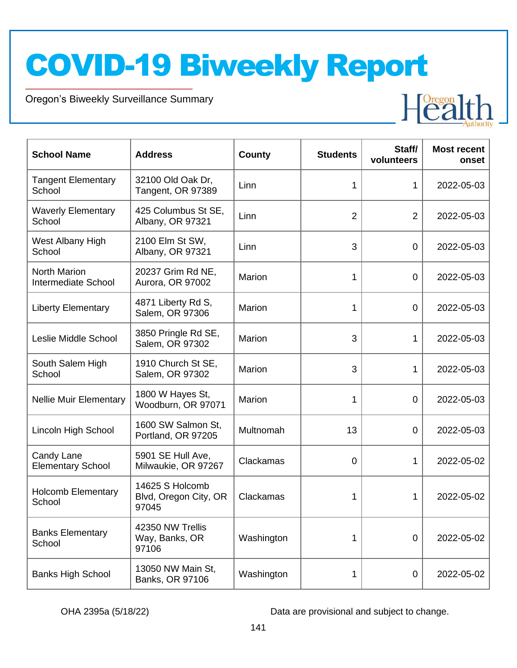Oregon's Biweekly Surveillance Summary

Novel Coronavirus (COVID-19)

| <b>School Name</b>                         | <b>Address</b>                                    | <b>County</b> | <b>Students</b> | Staff/<br>volunteers | <b>Most recent</b><br>onset |
|--------------------------------------------|---------------------------------------------------|---------------|-----------------|----------------------|-----------------------------|
| <b>Tangent Elementary</b><br>School        | 32100 Old Oak Dr,<br>Tangent, OR 97389            | Linn          | 1               | 1                    | 2022-05-03                  |
| <b>Waverly Elementary</b><br>School        | 425 Columbus St SE,<br>Albany, OR 97321           | Linn          | $\overline{2}$  | $\overline{2}$       | 2022-05-03                  |
| West Albany High<br>School                 | 2100 Elm St SW,<br>Albany, OR 97321               | Linn          | 3               | 0                    | 2022-05-03                  |
| <b>North Marion</b><br>Intermediate School | 20237 Grim Rd NE,<br>Aurora, OR 97002             | Marion        | 1               | $\mathbf 0$          | 2022-05-03                  |
| <b>Liberty Elementary</b>                  | 4871 Liberty Rd S,<br>Salem, OR 97306             | Marion        | 1               | $\mathbf 0$          | 2022-05-03                  |
| Leslie Middle School                       | 3850 Pringle Rd SE,<br>Salem, OR 97302            | Marion        | 3               | 1                    | 2022-05-03                  |
| South Salem High<br>School                 | 1910 Church St SE,<br>Salem, OR 97302             | <b>Marion</b> | 3               | 1                    | 2022-05-03                  |
| <b>Nellie Muir Elementary</b>              | 1800 W Hayes St,<br>Woodburn, OR 97071            | Marion        | 1               | 0                    | 2022-05-03                  |
| Lincoln High School                        | 1600 SW Salmon St,<br>Portland, OR 97205          | Multnomah     | 13              | 0                    | 2022-05-03                  |
| Candy Lane<br><b>Elementary School</b>     | 5901 SE Hull Ave,<br>Milwaukie, OR 97267          | Clackamas     | 0               | 1                    | 2022-05-02                  |
| <b>Holcomb Elementary</b><br>School        | 14625 S Holcomb<br>Blvd, Oregon City, OR<br>97045 | Clackamas     | 1               | 1                    | 2022-05-02                  |
| <b>Banks Elementary</b><br>School          | 42350 NW Trellis<br>Way, Banks, OR<br>97106       | Washington    | 1               | $\mathbf 0$          | 2022-05-02                  |
| <b>Banks High School</b>                   | 13050 NW Main St,<br>Banks, OR 97106              | Washington    | 1               | 0                    | 2022-05-02                  |

OHA 2395a (5/18/22) Data are provisional and subject to change.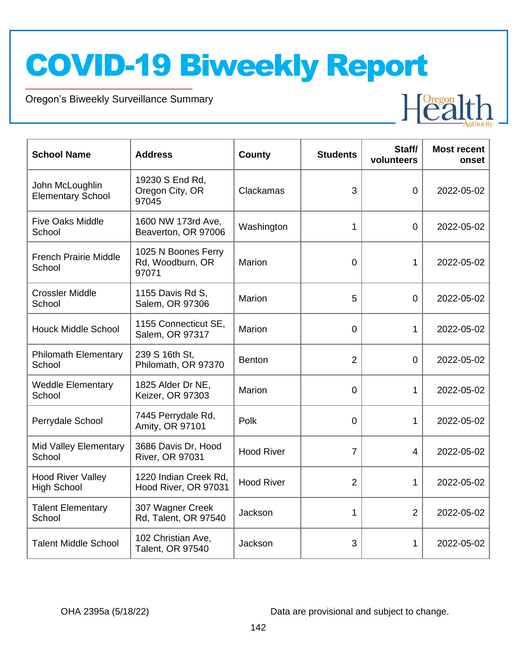Oregon's Biweekly Surveillance Summary

Novel Coronavirus (COVID-19)

| <b>School Name</b>                             | <b>Address</b>                                   | County            | <b>Students</b> | Staff/<br>volunteers | <b>Most recent</b><br>onset |
|------------------------------------------------|--------------------------------------------------|-------------------|-----------------|----------------------|-----------------------------|
| John McLoughlin<br><b>Elementary School</b>    | 19230 S End Rd,<br>Oregon City, OR<br>97045      | Clackamas         | 3               | $\overline{0}$       | 2022-05-02                  |
| <b>Five Oaks Middle</b><br>School              | 1600 NW 173rd Ave,<br>Beaverton, OR 97006        | Washington        | 1               | $\overline{0}$       | 2022-05-02                  |
| <b>French Prairie Middle</b><br>School         | 1025 N Boones Ferry<br>Rd, Woodburn, OR<br>97071 | Marion            | $\overline{0}$  | 1                    | 2022-05-02                  |
| <b>Crossler Middle</b><br>School               | 1155 Davis Rd S,<br>Salem, OR 97306              | Marion            | 5               | $\overline{0}$       | 2022-05-02                  |
| <b>Houck Middle School</b>                     | 1155 Connecticut SE,<br>Salem, OR 97317          | Marion            | 0               | 1                    | 2022-05-02                  |
| <b>Philomath Elementary</b><br>School          | 239 S 16th St,<br>Philomath, OR 97370            | <b>Benton</b>     | 2               | 0                    | 2022-05-02                  |
| <b>Weddle Elementary</b><br>School             | 1825 Alder Dr NE,<br>Keizer, OR 97303            | Marion            | $\Omega$        | 1                    | 2022-05-02                  |
| Perrydale School                               | 7445 Perrydale Rd,<br>Amity, OR 97101            | Polk              | $\overline{0}$  | 1                    | 2022-05-02                  |
| Mid Valley Elementary<br>School                | 3686 Davis Dr, Hood<br>River, OR 97031           | <b>Hood River</b> | 7               | 4                    | 2022-05-02                  |
| <b>Hood River Valley</b><br><b>High School</b> | 1220 Indian Creek Rd,<br>Hood River, OR 97031    | <b>Hood River</b> | $\overline{2}$  | 1                    | 2022-05-02                  |
| <b>Talent Elementary</b><br>School             | 307 Wagner Creek<br>Rd, Talent, OR 97540         | Jackson           | 1               | $\overline{2}$       | 2022-05-02                  |
| <b>Talent Middle School</b>                    | 102 Christian Ave,<br>Talent, OR 97540           | Jackson           | 3               | 1                    | 2022-05-02                  |

OHA 2395a (5/18/22) Data are provisional and subject to change.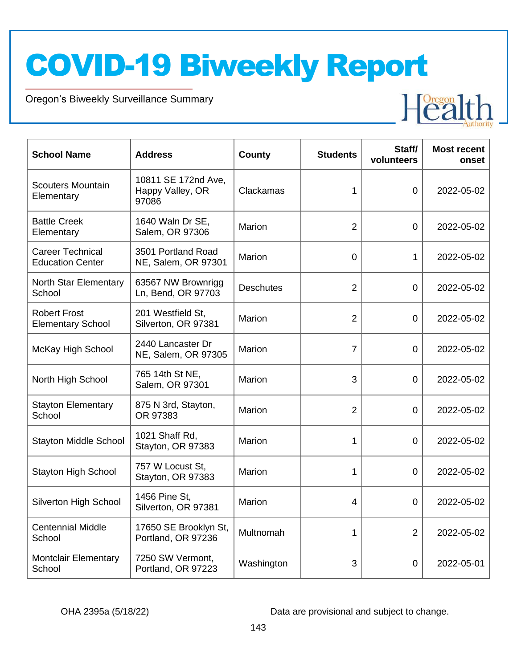Oregon's Biweekly Surveillance Summary

Novel Coronavirus (COVID-19)

| <b>School Name</b>                                 | <b>Address</b>                                   | <b>County</b>    | <b>Students</b> | Staff/         | <b>Most recent</b> |
|----------------------------------------------------|--------------------------------------------------|------------------|-----------------|----------------|--------------------|
|                                                    |                                                  |                  |                 | volunteers     | onset              |
| <b>Scouters Mountain</b><br>Elementary             | 10811 SE 172nd Ave,<br>Happy Valley, OR<br>97086 | Clackamas        | 1               | 0              | 2022-05-02         |
| <b>Battle Creek</b><br>Elementary                  | 1640 Waln Dr SE,<br>Salem, OR 97306              | Marion           | $\overline{2}$  | 0              | 2022-05-02         |
| <b>Career Technical</b><br><b>Education Center</b> | 3501 Portland Road<br>NE, Salem, OR 97301        | Marion           | 0               | $\mathbf 1$    | 2022-05-02         |
| North Star Elementary<br>School                    | 63567 NW Brownrigg<br>Ln, Bend, OR 97703         | <b>Deschutes</b> | $\overline{2}$  | 0              | 2022-05-02         |
| <b>Robert Frost</b><br><b>Elementary School</b>    | 201 Westfield St,<br>Silverton, OR 97381         | Marion           | $\overline{2}$  | $\Omega$       | 2022-05-02         |
| McKay High School                                  | 2440 Lancaster Dr<br>NE, Salem, OR 97305         | <b>Marion</b>    | $\overline{7}$  | 0              | 2022-05-02         |
| North High School                                  | 765 14th St NE,<br>Salem, OR 97301               | Marion           | 3               | 0              | 2022-05-02         |
| <b>Stayton Elementary</b><br>School                | 875 N 3rd, Stayton,<br>OR 97383                  | Marion           | $\overline{2}$  | $\Omega$       | 2022-05-02         |
| <b>Stayton Middle School</b>                       | 1021 Shaff Rd,<br>Stayton, OR 97383              | Marion           | 1               | $\overline{0}$ | 2022-05-02         |
| <b>Stayton High School</b>                         | 757 W Locust St.<br>Stayton, OR 97383            | Marion           | 1               | $\Omega$       | 2022-05-02         |
| Silverton High School                              | 1456 Pine St,<br>Silverton, OR 97381             | <b>Marion</b>    | 4               | 0              | 2022-05-02         |
| <b>Centennial Middle</b><br>School                 | 17650 SE Brooklyn St,<br>Portland, OR 97236      | Multnomah        | 1               | $\overline{2}$ | 2022-05-02         |
| <b>Montclair Elementary</b><br>School              | 7250 SW Vermont,<br>Portland, OR 97223           | Washington       | 3               | 0              | 2022-05-01         |

OHA 2395a (5/18/22) Data are provisional and subject to change.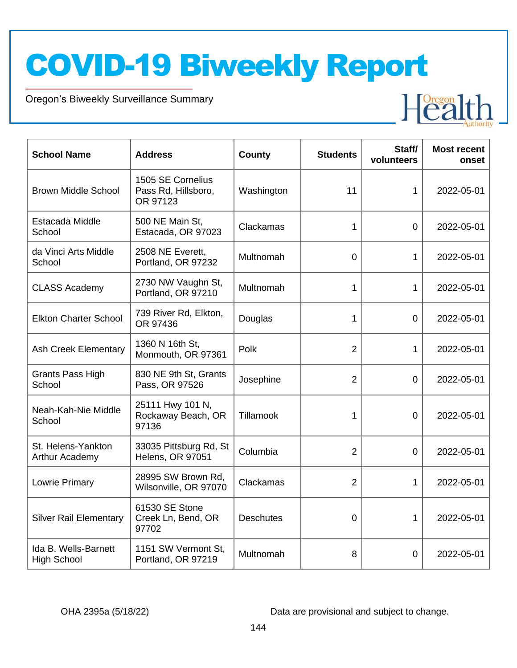Oregon's Biweekly Surveillance Summary

Novel Coronavirus (COVID-19)

| <b>School Name</b>                         | <b>Address</b>                                       | County           | <b>Students</b> | Staff/<br>volunteers | <b>Most recent</b><br>onset |
|--------------------------------------------|------------------------------------------------------|------------------|-----------------|----------------------|-----------------------------|
| <b>Brown Middle School</b>                 | 1505 SE Cornelius<br>Pass Rd, Hillsboro,<br>OR 97123 | Washington       | 11              | 1                    | 2022-05-01                  |
| Estacada Middle<br>School                  | 500 NE Main St.<br>Estacada, OR 97023                | Clackamas        | 1               | $\Omega$             | 2022-05-01                  |
| da Vinci Arts Middle<br>School             | 2508 NE Everett,<br>Portland, OR 97232               | Multnomah        | 0               | 1                    | 2022-05-01                  |
| <b>CLASS Academy</b>                       | 2730 NW Vaughn St,<br>Portland, OR 97210             | Multnomah        | 1               | $\mathbf 1$          | 2022-05-01                  |
| <b>Elkton Charter School</b>               | 739 River Rd, Elkton,<br>OR 97436                    | Douglas          | 1               | 0                    | 2022-05-01                  |
| <b>Ash Creek Elementary</b>                | 1360 N 16th St,<br>Monmouth, OR 97361                | Polk             | $\overline{2}$  | 1                    | 2022-05-01                  |
| <b>Grants Pass High</b><br>School          | 830 NE 9th St, Grants<br>Pass, OR 97526              | Josephine        | $\overline{2}$  | $\Omega$             | 2022-05-01                  |
| Neah-Kah-Nie Middle<br>School              | 25111 Hwy 101 N,<br>Rockaway Beach, OR<br>97136      | Tillamook        | 1               | $\overline{0}$       | 2022-05-01                  |
| St. Helens-Yankton<br>Arthur Academy       | 33035 Pittsburg Rd, St<br>Helens, OR 97051           | Columbia         | $\overline{2}$  | $\overline{0}$       | 2022-05-01                  |
| Lowrie Primary                             | 28995 SW Brown Rd,<br>Wilsonville, OR 97070          | Clackamas        | $\overline{2}$  | 1                    | 2022-05-01                  |
| <b>Silver Rail Elementary</b>              | 61530 SE Stone<br>Creek Ln, Bend, OR<br>97702        | <b>Deschutes</b> | $\overline{0}$  | $\mathbf{1}$         | 2022-05-01                  |
| Ida B. Wells-Barnett<br><b>High School</b> | 1151 SW Vermont St,<br>Portland, OR 97219            | Multnomah        | 8               | 0                    | 2022-05-01                  |

OHA 2395a (5/18/22) Data are provisional and subject to change.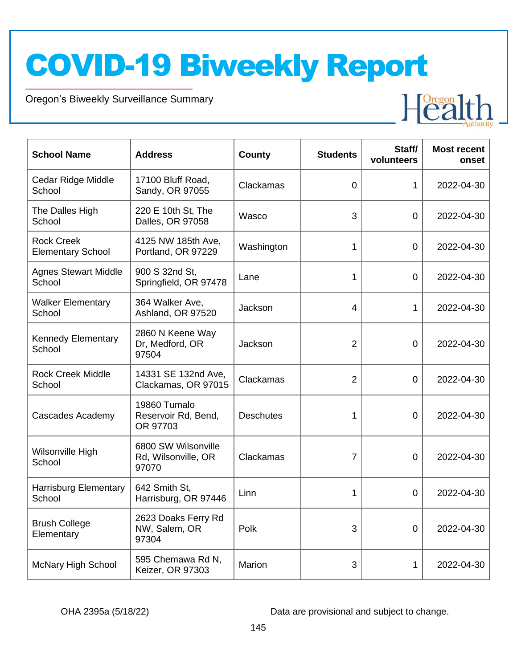Oregon's Biweekly Surveillance Summary

Novel Coronavirus (COVID-19)

| <b>School Name</b>                            | <b>Address</b>                                      | <b>County</b>    | <b>Students</b> | Staff/<br>volunteers | <b>Most recent</b><br>onset |
|-----------------------------------------------|-----------------------------------------------------|------------------|-----------------|----------------------|-----------------------------|
| Cedar Ridge Middle<br>School                  | 17100 Bluff Road,<br>Sandy, OR 97055                | Clackamas        | $\overline{0}$  | 1                    | 2022-04-30                  |
| The Dalles High<br>School                     | 220 E 10th St, The<br>Dalles, OR 97058              | Wasco            | 3               | 0                    | 2022-04-30                  |
| <b>Rock Creek</b><br><b>Elementary School</b> | 4125 NW 185th Ave,<br>Portland, OR 97229            | Washington       | 1               | 0                    | 2022-04-30                  |
| <b>Agnes Stewart Middle</b><br>School         | 900 S 32nd St,<br>Springfield, OR 97478             | Lane             | 1               | 0                    | 2022-04-30                  |
| <b>Walker Elementary</b><br>School            | 364 Walker Ave,<br>Ashland, OR 97520                | Jackson          | 4               | 1                    | 2022-04-30                  |
| <b>Kennedy Elementary</b><br>School           | 2860 N Keene Way<br>Dr, Medford, OR<br>97504        | Jackson          | $\overline{2}$  | 0                    | 2022-04-30                  |
| <b>Rock Creek Middle</b><br>School            | 14331 SE 132nd Ave,<br>Clackamas, OR 97015          | Clackamas        | $\overline{2}$  | $\Omega$             | 2022-04-30                  |
| <b>Cascades Academy</b>                       | 19860 Tumalo<br>Reservoir Rd, Bend,<br>OR 97703     | <b>Deschutes</b> | 1               | $\Omega$             | 2022-04-30                  |
| Wilsonville High<br>School                    | 6800 SW Wilsonville<br>Rd, Wilsonville, OR<br>97070 | Clackamas        | $\overline{7}$  | 0                    | 2022-04-30                  |
| <b>Harrisburg Elementary</b><br>School        | 642 Smith St,<br>Harrisburg, OR 97446               | Linn             | 1               | $\Omega$             | 2022-04-30                  |
| <b>Brush College</b><br>Elementary            | 2623 Doaks Ferry Rd<br>NW, Salem, OR<br>97304       | Polk             | 3               | 0                    | 2022-04-30                  |
| <b>McNary High School</b>                     | 595 Chemawa Rd N,<br>Keizer, OR 97303               | Marion           | 3               | 1                    | 2022-04-30                  |

OHA 2395a (5/18/22) Data are provisional and subject to change.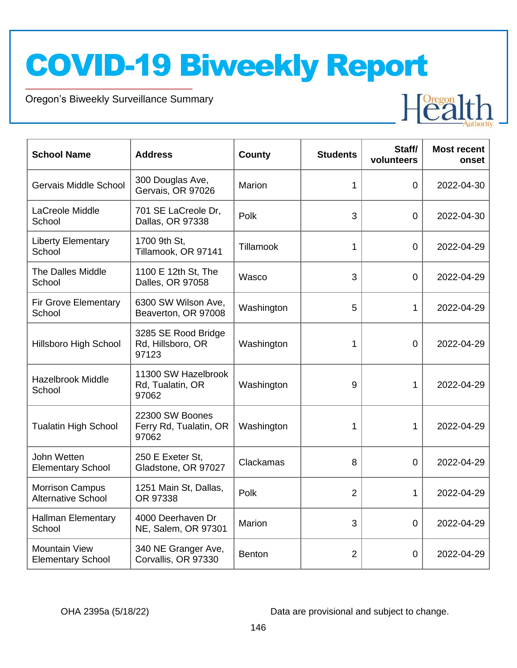Oregon's Biweekly Surveillance Summary

Novel Coronavirus (COVID-19)

| <b>School Name</b>                                  | <b>Address</b>                                     | <b>County</b> | <b>Students</b> | Staff/<br>volunteers | <b>Most recent</b><br>onset |
|-----------------------------------------------------|----------------------------------------------------|---------------|-----------------|----------------------|-----------------------------|
| Gervais Middle School                               | 300 Douglas Ave,<br>Gervais, OR 97026              | Marion        | 1               | $\overline{0}$       | 2022-04-30                  |
| LaCreole Middle<br>School                           | 701 SE LaCreole Dr,<br>Dallas, OR 97338            | Polk          | 3               | 0                    | 2022-04-30                  |
| <b>Liberty Elementary</b><br>School                 | 1700 9th St,<br>Tillamook, OR 97141                | Tillamook     | 1               | 0                    | 2022-04-29                  |
| <b>The Dalles Middle</b><br>School                  | 1100 E 12th St, The<br>Dalles, OR 97058            | Wasco         | 3               | $\mathbf 0$          | 2022-04-29                  |
| <b>Fir Grove Elementary</b><br>School               | 6300 SW Wilson Ave,<br>Beaverton, OR 97008         | Washington    | 5               | 1                    | 2022-04-29                  |
| <b>Hillsboro High School</b>                        | 3285 SE Rood Bridge<br>Rd, Hillsboro, OR<br>97123  | Washington    | 1               | $\overline{0}$       | 2022-04-29                  |
| <b>Hazelbrook Middle</b><br>School                  | 11300 SW Hazelbrook<br>Rd, Tualatin, OR<br>97062   | Washington    | 9               | 1                    | 2022-04-29                  |
| <b>Tualatin High School</b>                         | 22300 SW Boones<br>Ferry Rd, Tualatin, OR<br>97062 | Washington    | 1               | 1                    | 2022-04-29                  |
| John Wetten<br><b>Elementary School</b>             | 250 E Exeter St,<br>Gladstone, OR 97027            | Clackamas     | 8               | $\overline{0}$       | 2022-04-29                  |
| <b>Morrison Campus</b><br><b>Alternative School</b> | 1251 Main St, Dallas,<br>OR 97338                  | Polk          | $\overline{2}$  | 1                    | 2022-04-29                  |
| <b>Hallman Elementary</b><br>School                 | 4000 Deerhaven Dr<br>NE, Salem, OR 97301           | Marion        | 3               | $\overline{0}$       | 2022-04-29                  |
| <b>Mountain View</b><br><b>Elementary School</b>    | 340 NE Granger Ave,<br>Corvallis, OR 97330         | <b>Benton</b> | $\overline{2}$  | 0                    | 2022-04-29                  |

OHA 2395a (5/18/22) Data are provisional and subject to change.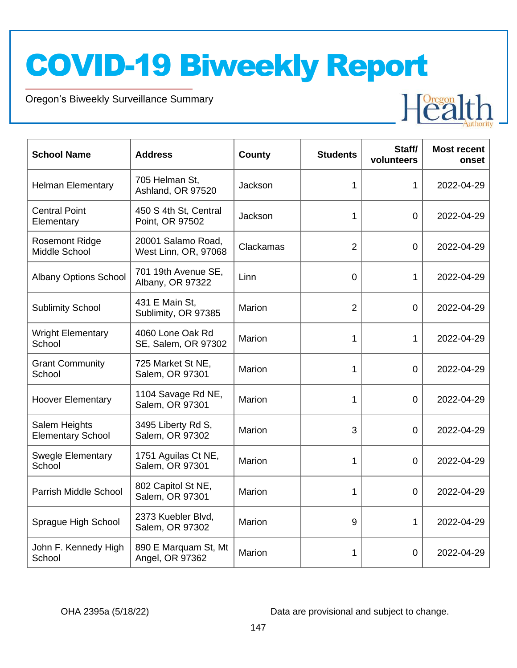Oregon's Biweekly Surveillance Summary

Novel Coronavirus (COVID-19)

| <b>School Name</b>                        | <b>Address</b>                             | County        | <b>Students</b> | Staff/<br>volunteers | <b>Most recent</b><br>onset |
|-------------------------------------------|--------------------------------------------|---------------|-----------------|----------------------|-----------------------------|
| <b>Helman Elementary</b>                  | 705 Helman St,<br>Ashland, OR 97520        | Jackson       | 1               | 1                    | 2022-04-29                  |
| <b>Central Point</b><br>Elementary        | 450 S 4th St, Central<br>Point, OR 97502   | Jackson       | 1               | 0                    | 2022-04-29                  |
| <b>Rosemont Ridge</b><br>Middle School    | 20001 Salamo Road,<br>West Linn, OR, 97068 | Clackamas     | $\overline{2}$  | $\Omega$             | 2022-04-29                  |
| <b>Albany Options School</b>              | 701 19th Avenue SE,<br>Albany, OR 97322    | Linn          | $\overline{0}$  | 1                    | 2022-04-29                  |
| <b>Sublimity School</b>                   | 431 E Main St,<br>Sublimity, OR 97385      | Marion        | $\overline{2}$  | $\overline{0}$       | 2022-04-29                  |
| <b>Wright Elementary</b><br>School        | 4060 Lone Oak Rd<br>SE, Salem, OR 97302    | Marion        | 1               | 1                    | 2022-04-29                  |
| <b>Grant Community</b><br>School          | 725 Market St NE,<br>Salem, OR 97301       | <b>Marion</b> | 1               | $\mathbf 0$          | 2022-04-29                  |
| <b>Hoover Elementary</b>                  | 1104 Savage Rd NE,<br>Salem, OR 97301      | Marion        | 1               | $\overline{0}$       | 2022-04-29                  |
| Salem Heights<br><b>Elementary School</b> | 3495 Liberty Rd S,<br>Salem, OR 97302      | Marion        | 3               | 0                    | 2022-04-29                  |
| <b>Swegle Elementary</b><br>School        | 1751 Aguilas Ct NE,<br>Salem, OR 97301     | <b>Marion</b> | 1               | $\mathbf 0$          | 2022-04-29                  |
| Parrish Middle School                     | 802 Capitol St NE,<br>Salem, OR 97301      | Marion        | 1               | $\overline{0}$       | 2022-04-29                  |
| Sprague High School                       | 2373 Kuebler Blvd,<br>Salem, OR 97302      | Marion        | 9               | 1                    | 2022-04-29                  |
| John F. Kennedy High<br>School            | 890 E Marquam St, Mt<br>Angel, OR 97362    | Marion        | 1               | 0                    | 2022-04-29                  |

OHA 2395a (5/18/22) Data are provisional and subject to change.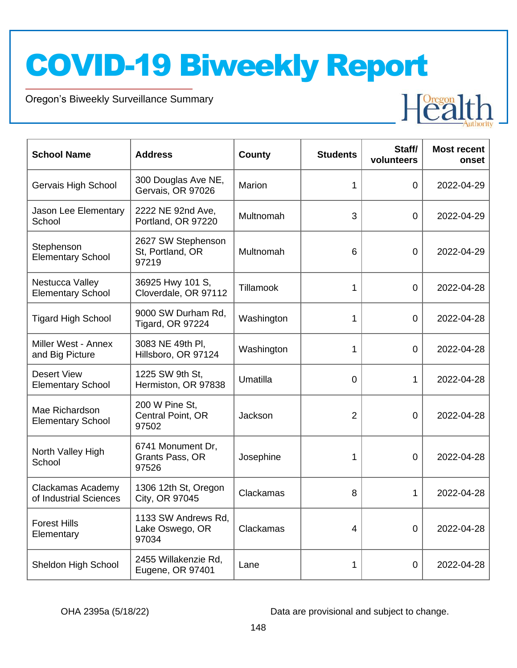Oregon's Biweekly Surveillance Summary

Novel Coronavirus (COVID-19)

| <b>School Name</b>                             | <b>Address</b>                                  | County     | <b>Students</b> | Staff/<br>volunteers | <b>Most recent</b><br>onset |
|------------------------------------------------|-------------------------------------------------|------------|-----------------|----------------------|-----------------------------|
| Gervais High School                            | 300 Douglas Ave NE,<br>Gervais, OR 97026        | Marion     | 1               | $\overline{0}$       | 2022-04-29                  |
| Jason Lee Elementary<br>School                 | 2222 NE 92nd Ave,<br>Portland, OR 97220         | Multnomah  | 3               | $\Omega$             | 2022-04-29                  |
| Stephenson<br><b>Elementary School</b>         | 2627 SW Stephenson<br>St, Portland, OR<br>97219 | Multnomah  | 6               | 0                    | 2022-04-29                  |
| Nestucca Valley<br><b>Elementary School</b>    | 36925 Hwy 101 S,<br>Cloverdale, OR 97112        | Tillamook  | 1               | 0                    | 2022-04-28                  |
| <b>Tigard High School</b>                      | 9000 SW Durham Rd.<br><b>Tigard, OR 97224</b>   | Washington | 1               | $\overline{0}$       | 2022-04-28                  |
| Miller West - Annex<br>and Big Picture         | 3083 NE 49th PI,<br>Hillsboro, OR 97124         | Washington | 1               | $\overline{0}$       | 2022-04-28                  |
| <b>Desert View</b><br><b>Elementary School</b> | 1225 SW 9th St,<br>Hermiston, OR 97838          | Umatilla   | 0               | 1                    | 2022-04-28                  |
| Mae Richardson<br><b>Elementary School</b>     | 200 W Pine St,<br>Central Point, OR<br>97502    | Jackson    | $\overline{2}$  | $\overline{0}$       | 2022-04-28                  |
| North Valley High<br>School                    | 6741 Monument Dr,<br>Grants Pass, OR<br>97526   | Josephine  | 1               | $\overline{0}$       | 2022-04-28                  |
| Clackamas Academy<br>of Industrial Sciences    | 1306 12th St, Oregon<br>City, OR 97045          | Clackamas  | 8               | 1                    | 2022-04-28                  |
| <b>Forest Hills</b><br>Elementary              | 1133 SW Andrews Rd,<br>Lake Oswego, OR<br>97034 | Clackamas  | 4               | $\Omega$             | 2022-04-28                  |
| Sheldon High School                            | 2455 Willakenzie Rd,<br>Eugene, OR 97401        | Lane       | 1               | 0                    | 2022-04-28                  |

OHA 2395a (5/18/22) Data are provisional and subject to change.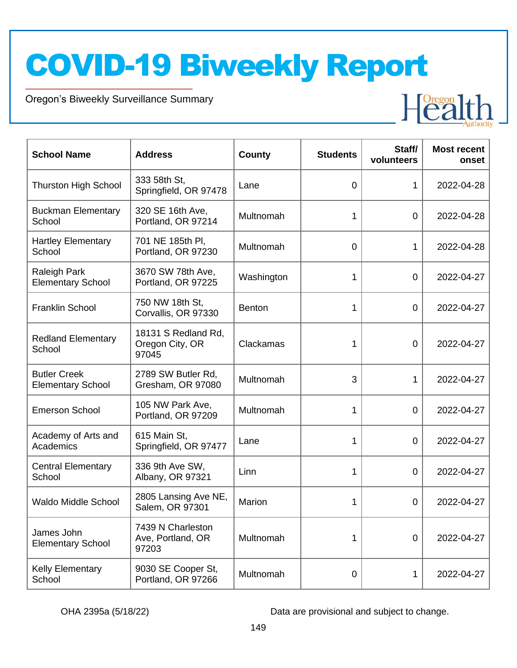Oregon's Biweekly Surveillance Summary

Novel Coronavirus (COVID-19)

| <b>School Name</b>                              | <b>Address</b>                                  | County        | <b>Students</b> | Staff/<br>volunteers | <b>Most recent</b><br>onset |
|-------------------------------------------------|-------------------------------------------------|---------------|-----------------|----------------------|-----------------------------|
| <b>Thurston High School</b>                     | 333 58th St,<br>Springfield, OR 97478           | Lane          | 0               | 1                    | 2022-04-28                  |
| <b>Buckman Elementary</b><br>School             | 320 SE 16th Ave,<br>Portland, OR 97214          | Multnomah     | 1               | $\overline{0}$       | 2022-04-28                  |
| <b>Hartley Elementary</b><br>School             | 701 NE 185th PI,<br>Portland, OR 97230          | Multnomah     | $\overline{0}$  | 1                    | 2022-04-28                  |
| Raleigh Park<br><b>Elementary School</b>        | 3670 SW 78th Ave,<br>Portland, OR 97225         | Washington    | 1               | $\mathbf 0$          | 2022-04-27                  |
| <b>Franklin School</b>                          | 750 NW 18th St,<br>Corvallis, OR 97330          | <b>Benton</b> | 1               | $\mathbf 0$          | 2022-04-27                  |
| <b>Redland Elementary</b><br>School             | 18131 S Redland Rd.<br>Oregon City, OR<br>97045 | Clackamas     | 1               | $\overline{0}$       | 2022-04-27                  |
| <b>Butler Creek</b><br><b>Elementary School</b> | 2789 SW Butler Rd,<br>Gresham, OR 97080         | Multnomah     | 3               | 1                    | 2022-04-27                  |
| <b>Emerson School</b>                           | 105 NW Park Ave,<br>Portland, OR 97209          | Multnomah     | 1               | $\mathbf 0$          | 2022-04-27                  |
| Academy of Arts and<br>Academics                | 615 Main St,<br>Springfield, OR 97477           | Lane          | 1               | $\mathbf 0$          | 2022-04-27                  |
| <b>Central Elementary</b><br>School             | 336 9th Ave SW,<br>Albany, OR 97321             | Linn          | 1               | 0                    | 2022-04-27                  |
| <b>Waldo Middle School</b>                      | 2805 Lansing Ave NE,<br>Salem, OR 97301         | Marion        | 1               | 0                    | 2022-04-27                  |
| James John<br><b>Elementary School</b>          | 7439 N Charleston<br>Ave, Portland, OR<br>97203 | Multnomah     | 1               | $\mathbf 0$          | 2022-04-27                  |
| <b>Kelly Elementary</b><br>School               | 9030 SE Cooper St,<br>Portland, OR 97266        | Multnomah     | 0               | 1                    | 2022-04-27                  |

OHA 2395a (5/18/22) Data are provisional and subject to change.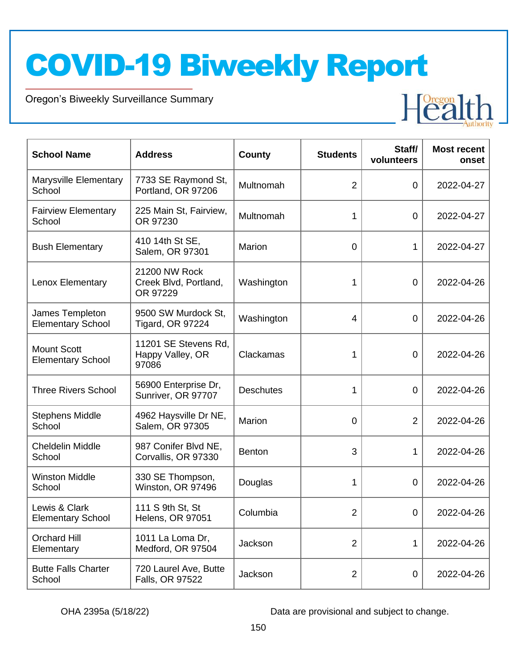Oregon's Biweekly Surveillance Summary

Novel Coronavirus (COVID-19)

| <b>School Name</b>                             | <b>Address</b>                                     | County           | <b>Students</b> | Staff/<br>volunteers | <b>Most recent</b><br>onset |
|------------------------------------------------|----------------------------------------------------|------------------|-----------------|----------------------|-----------------------------|
| Marysville Elementary<br>School                | 7733 SE Raymond St,<br>Portland, OR 97206          | Multnomah        | $\overline{2}$  | 0                    | 2022-04-27                  |
| <b>Fairview Elementary</b><br>School           | 225 Main St, Fairview,<br>OR 97230                 | Multnomah        | 1               | 0                    | 2022-04-27                  |
| <b>Bush Elementary</b>                         | 410 14th St SE,<br>Salem, OR 97301                 | Marion           | 0               | 1                    | 2022-04-27                  |
| Lenox Elementary                               | 21200 NW Rock<br>Creek Blvd, Portland,<br>OR 97229 | Washington       | 1               | $\mathbf 0$          | 2022-04-26                  |
| James Templeton<br><b>Elementary School</b>    | 9500 SW Murdock St,<br>Tigard, OR 97224            | Washington       | 4               | $\mathbf 0$          | 2022-04-26                  |
| <b>Mount Scott</b><br><b>Elementary School</b> | 11201 SE Stevens Rd,<br>Happy Valley, OR<br>97086  | Clackamas        | 1               | 0                    | 2022-04-26                  |
| <b>Three Rivers School</b>                     | 56900 Enterprise Dr,<br>Sunriver, OR 97707         | <b>Deschutes</b> | 1               | 0                    | 2022-04-26                  |
| <b>Stephens Middle</b><br>School               | 4962 Haysville Dr NE,<br>Salem, OR 97305           | Marion           | 0               | $\overline{2}$       | 2022-04-26                  |
| <b>Cheldelin Middle</b><br>School              | 987 Conifer Blvd NE,<br>Corvallis, OR 97330        | <b>Benton</b>    | 3               | 1                    | 2022-04-26                  |
| <b>Winston Middle</b><br>School                | 330 SE Thompson,<br>Winston, OR 97496              | Douglas          | 1               | 0                    | 2022-04-26                  |
| Lewis & Clark<br><b>Elementary School</b>      | 111 S 9th St, St<br><b>Helens, OR 97051</b>        | Columbia         | 2               | 0                    | 2022-04-26                  |
| <b>Orchard Hill</b><br>Elementary              | 1011 La Loma Dr,<br>Medford, OR 97504              | Jackson          | $\overline{2}$  | 1                    | 2022-04-26                  |
| <b>Butte Falls Charter</b><br>School           | 720 Laurel Ave, Butte<br>Falls, OR 97522           | Jackson          | $\overline{2}$  | 0                    | 2022-04-26                  |

OHA 2395a (5/18/22) Data are provisional and subject to change.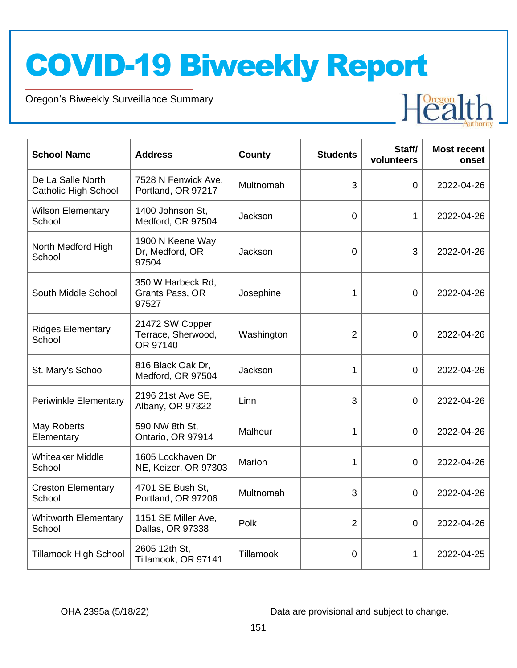Oregon's Biweekly Surveillance Summary

Novel Coronavirus (COVID-19)

| <b>School Name</b>                               | <b>Address</b>                                    | <b>County</b> | <b>Students</b> | Staff/<br>volunteers | <b>Most recent</b><br>onset |
|--------------------------------------------------|---------------------------------------------------|---------------|-----------------|----------------------|-----------------------------|
| De La Salle North<br><b>Catholic High School</b> | 7528 N Fenwick Ave,<br>Portland, OR 97217         | Multnomah     | 3               | 0                    | 2022-04-26                  |
| <b>Wilson Elementary</b><br>School               | 1400 Johnson St,<br>Medford, OR 97504             | Jackson       | $\overline{0}$  | 1                    | 2022-04-26                  |
| North Medford High<br>School                     | 1900 N Keene Way<br>Dr, Medford, OR<br>97504      | Jackson       | 0               | 3                    | 2022-04-26                  |
| South Middle School                              | 350 W Harbeck Rd,<br>Grants Pass, OR<br>97527     | Josephine     | 1               | $\overline{0}$       | 2022-04-26                  |
| <b>Ridges Elementary</b><br>School               | 21472 SW Copper<br>Terrace, Sherwood,<br>OR 97140 | Washington    | $\overline{2}$  | 0                    | 2022-04-26                  |
| St. Mary's School                                | 816 Black Oak Dr,<br>Medford, OR 97504            | Jackson       | 1               | 0                    | 2022-04-26                  |
| <b>Periwinkle Elementary</b>                     | 2196 21st Ave SE,<br>Albany, OR 97322             | Linn          | 3               | $\overline{0}$       | 2022-04-26                  |
| May Roberts<br>Elementary                        | 590 NW 8th St,<br>Ontario, OR 97914               | Malheur       | 1               | 0                    | 2022-04-26                  |
| <b>Whiteaker Middle</b><br>School                | 1605 Lockhaven Dr<br>NE, Keizer, OR 97303         | Marion        | 1               | 0                    | 2022-04-26                  |
| <b>Creston Elementary</b><br>School              | 4701 SE Bush St,<br>Portland, OR 97206            | Multnomah     | 3               | 0                    | 2022-04-26                  |
| <b>Whitworth Elementary</b><br>School            | 1151 SE Miller Ave,<br>Dallas, OR 97338           | Polk          | 2               | 0                    | 2022-04-26                  |
| <b>Tillamook High School</b>                     | 2605 12th St,<br>Tillamook, OR 97141              | Tillamook     | 0               | 1                    | 2022-04-25                  |

OHA 2395a (5/18/22) Data are provisional and subject to change.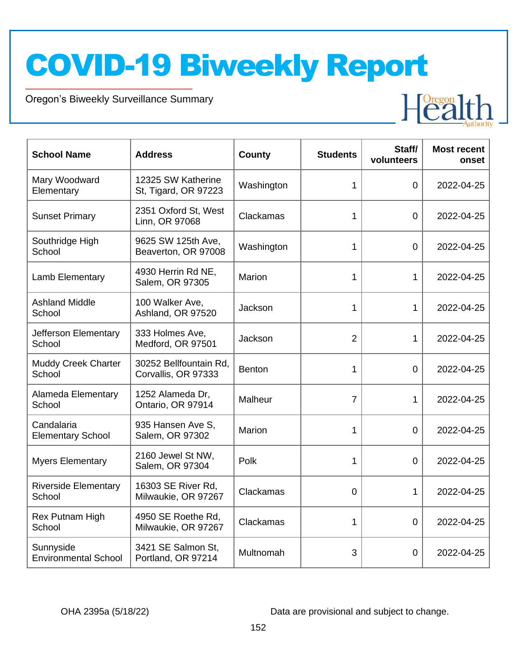Oregon's Biweekly Surveillance Summary

Novel Coronavirus (COVID-19)

| <b>School Name</b>                       | <b>Address</b>                                | <b>County</b> | <b>Students</b> | Staff/<br>volunteers | <b>Most recent</b><br>onset |
|------------------------------------------|-----------------------------------------------|---------------|-----------------|----------------------|-----------------------------|
| Mary Woodward<br>Elementary              | 12325 SW Katherine<br>St, Tigard, OR 97223    | Washington    | 1               | $\overline{0}$       | 2022-04-25                  |
| <b>Sunset Primary</b>                    | 2351 Oxford St, West<br>Linn, OR 97068        | Clackamas     | 1               | $\overline{0}$       | 2022-04-25                  |
| Southridge High<br>School                | 9625 SW 125th Ave,<br>Beaverton, OR 97008     | Washington    | 1               | $\Omega$             | 2022-04-25                  |
| Lamb Elementary                          | 4930 Herrin Rd NE,<br>Salem, OR 97305         | Marion        | 1               | 1                    | 2022-04-25                  |
| <b>Ashland Middle</b><br>School          | 100 Walker Ave,<br>Ashland, OR 97520          | Jackson       | 1               | 1                    | 2022-04-25                  |
| Jefferson Elementary<br>School           | 333 Holmes Ave,<br>Medford, OR 97501          | Jackson       | $\overline{2}$  | 1                    | 2022-04-25                  |
| Muddy Creek Charter<br>School            | 30252 Bellfountain Rd,<br>Corvallis, OR 97333 | <b>Benton</b> | 1               | $\overline{0}$       | 2022-04-25                  |
| Alameda Elementary<br>School             | 1252 Alameda Dr,<br>Ontario, OR 97914         | Malheur       | $\overline{7}$  | 1                    | 2022-04-25                  |
| Candalaria<br><b>Elementary School</b>   | 935 Hansen Ave S,<br>Salem, OR 97302          | Marion        | 1               | $\overline{0}$       | 2022-04-25                  |
| <b>Myers Elementary</b>                  | 2160 Jewel St NW,<br>Salem, OR 97304          | Polk          | 1               | $\overline{0}$       | 2022-04-25                  |
| <b>Riverside Elementary</b><br>School    | 16303 SE River Rd,<br>Milwaukie, OR 97267     | Clackamas     | 0               | 1                    | 2022-04-25                  |
| Rex Putnam High<br>School                | 4950 SE Roethe Rd,<br>Milwaukie, OR 97267     | Clackamas     | 1               | $\overline{0}$       | 2022-04-25                  |
| Sunnyside<br><b>Environmental School</b> | 3421 SE Salmon St,<br>Portland, OR 97214      | Multnomah     | 3               | $\mathbf 0$          | 2022-04-25                  |

OHA 2395a (5/18/22) Data are provisional and subject to change.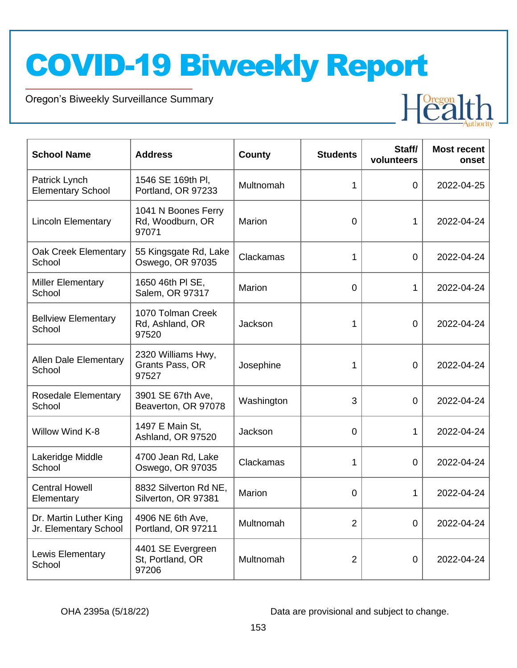Oregon's Biweekly Surveillance Summary

Novel Coronavirus (COVID-19)

| <b>School Name</b>                              | <b>Address</b>                                   | <b>County</b> | <b>Students</b> | Staff/<br>volunteers | <b>Most recent</b><br>onset |
|-------------------------------------------------|--------------------------------------------------|---------------|-----------------|----------------------|-----------------------------|
| Patrick Lynch<br><b>Elementary School</b>       | 1546 SE 169th PI,<br>Portland, OR 97233          | Multnomah     | 1               | 0                    | 2022-04-25                  |
| <b>Lincoln Elementary</b>                       | 1041 N Boones Ferry<br>Rd, Woodburn, OR<br>97071 | Marion        | 0               | 1                    | 2022-04-24                  |
| Oak Creek Elementary<br>School                  | 55 Kingsgate Rd, Lake<br>Oswego, OR 97035        | Clackamas     | 1               | 0                    | 2022-04-24                  |
| <b>Miller Elementary</b><br>School              | 1650 46th PI SE,<br>Salem, OR 97317              | Marion        | 0               | 1                    | 2022-04-24                  |
| <b>Bellview Elementary</b><br>School            | 1070 Tolman Creek<br>Rd, Ashland, OR<br>97520    | Jackson       | 1               | 0                    | 2022-04-24                  |
| <b>Allen Dale Elementary</b><br>School          | 2320 Williams Hwy,<br>Grants Pass, OR<br>97527   | Josephine     | 1               | 0                    | 2022-04-24                  |
| <b>Rosedale Elementary</b><br>School            | 3901 SE 67th Ave,<br>Beaverton, OR 97078         | Washington    | 3               | $\overline{0}$       | 2022-04-24                  |
| Willow Wind K-8                                 | 1497 E Main St,<br>Ashland, OR 97520             | Jackson       | 0               | 1                    | 2022-04-24                  |
| Lakeridge Middle<br>School                      | 4700 Jean Rd, Lake<br>Oswego, OR 97035           | Clackamas     | 1               | 0                    | 2022-04-24                  |
| <b>Central Howell</b><br>Elementary             | 8832 Silverton Rd NE,<br>Silverton, OR 97381     | Marion        | 0               | 1                    | 2022-04-24                  |
| Dr. Martin Luther King<br>Jr. Elementary School | 4906 NE 6th Ave,<br>Portland, OR 97211           | Multnomah     | $\overline{2}$  | 0                    | 2022-04-24                  |
| Lewis Elementary<br>School                      | 4401 SE Evergreen<br>St, Portland, OR<br>97206   | Multnomah     | $\overline{2}$  | 0                    | 2022-04-24                  |

OHA 2395a (5/18/22) Data are provisional and subject to change.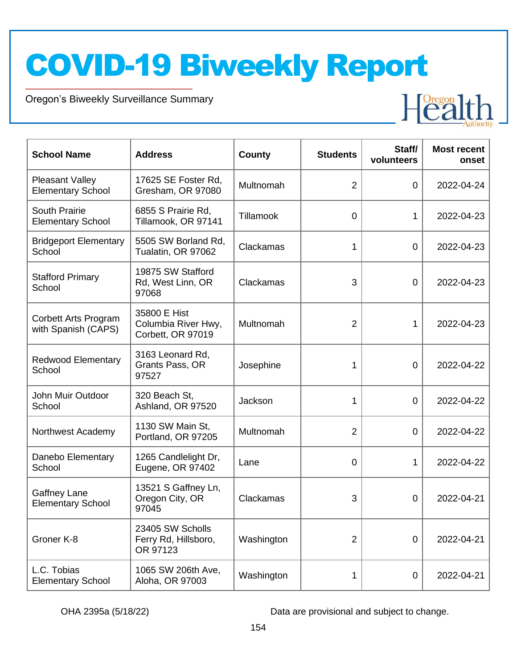Oregon's Biweekly Surveillance Summary

Novel Coronavirus (COVID-19)

| <b>School Name</b>                                 | <b>Address</b>                                           | <b>County</b>    | <b>Students</b> | Staff/<br>volunteers | <b>Most recent</b><br>onset |
|----------------------------------------------------|----------------------------------------------------------|------------------|-----------------|----------------------|-----------------------------|
| <b>Pleasant Valley</b><br><b>Elementary School</b> | 17625 SE Foster Rd,<br>Gresham, OR 97080                 | Multnomah        | $\overline{2}$  | 0                    | 2022-04-24                  |
| South Prairie<br><b>Elementary School</b>          | 6855 S Prairie Rd,<br>Tillamook, OR 97141                | <b>Tillamook</b> | $\mathbf 0$     | 1                    | 2022-04-23                  |
| <b>Bridgeport Elementary</b><br>School             | 5505 SW Borland Rd,<br>Tualatin, OR 97062                | Clackamas        | 1               | $\mathbf 0$          | 2022-04-23                  |
| <b>Stafford Primary</b><br>School                  | 19875 SW Stafford<br>Rd, West Linn, OR<br>97068          | Clackamas        | 3               | $\mathbf 0$          | 2022-04-23                  |
| Corbett Arts Program<br>with Spanish (CAPS)        | 35800 E Hist<br>Columbia River Hwy,<br>Corbett, OR 97019 | Multnomah        | $\overline{2}$  |                      | 2022-04-23                  |
| <b>Redwood Elementary</b><br>School                | 3163 Leonard Rd,<br>Grants Pass, OR<br>97527             | Josephine        | 1               | 0                    | 2022-04-22                  |
| John Muir Outdoor<br>School                        | 320 Beach St,<br>Ashland, OR 97520                       | Jackson          | 1               | $\overline{0}$       | 2022-04-22                  |
| Northwest Academy                                  | 1130 SW Main St,<br>Portland, OR 97205                   | Multnomah        | 2               | $\Omega$             | 2022-04-22                  |
| Danebo Elementary<br>School                        | 1265 Candlelight Dr,<br>Eugene, OR 97402                 | Lane             | 0               | 1                    | 2022-04-22                  |
| <b>Gaffney Lane</b><br><b>Elementary School</b>    | 13521 S Gaffney Ln,<br>Oregon City, OR<br>97045          | Clackamas        | 3               | $\Omega$             | 2022-04-21                  |
| Groner K-8                                         | 23405 SW Scholls<br>Ferry Rd, Hillsboro,<br>OR 97123     | Washington       | $\overline{2}$  | 0                    | 2022-04-21                  |
| L.C. Tobias<br><b>Elementary School</b>            | 1065 SW 206th Ave,<br>Aloha, OR 97003                    | Washington       | 1               | $\mathbf 0$          | 2022-04-21                  |

OHA 2395a (5/18/22) Data are provisional and subject to change.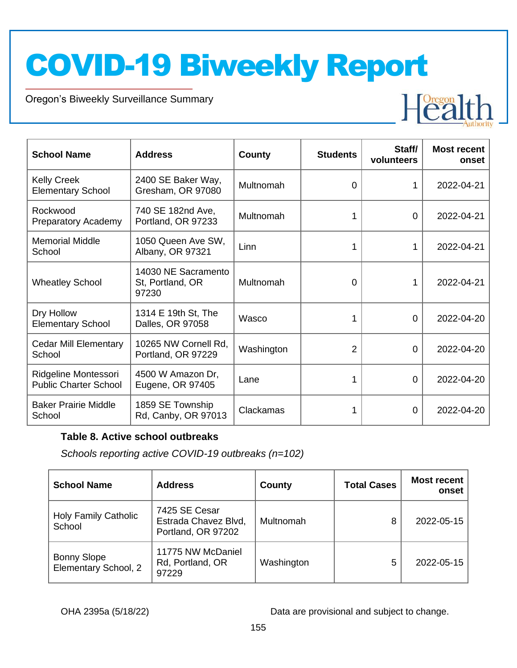Oregon's Biweekly Surveillance Summary

Novel Coronavirus (COVID-19)



| <b>School Name</b>                                   | <b>Address</b>                                   | County     | <b>Students</b> | Staff/<br>volunteers | <b>Most recent</b><br>onset |
|------------------------------------------------------|--------------------------------------------------|------------|-----------------|----------------------|-----------------------------|
| <b>Kelly Creek</b><br><b>Elementary School</b>       | 2400 SE Baker Way,<br>Gresham, OR 97080          | Multnomah  | $\Omega$        | 1                    | 2022-04-21                  |
| Rockwood<br><b>Preparatory Academy</b>               | 740 SE 182nd Ave,<br>Portland, OR 97233          | Multnomah  |                 | 0                    | 2022-04-21                  |
| <b>Memorial Middle</b><br>School                     | 1050 Queen Ave SW,<br>Albany, OR 97321           | Linn       |                 | 1                    | 2022-04-21                  |
| <b>Wheatley School</b>                               | 14030 NE Sacramento<br>St, Portland, OR<br>97230 | Multnomah  | $\Omega$        | 1                    | 2022-04-21                  |
| Dry Hollow<br><b>Elementary School</b>               | 1314 E 19th St, The<br>Dalles, OR 97058          | Wasco      |                 | 0                    | 2022-04-20                  |
| Cedar Mill Elementary<br>School                      | 10265 NW Cornell Rd,<br>Portland, OR 97229       | Washington | $\overline{2}$  | 0                    | 2022-04-20                  |
| Ridgeline Montessori<br><b>Public Charter School</b> | 4500 W Amazon Dr,<br>Eugene, OR 97405            | Lane       |                 | 0                    | 2022-04-20                  |
| <b>Baker Prairie Middle</b><br>School                | 1859 SE Township<br>Rd, Canby, OR 97013          | Clackamas  |                 | 0                    | 2022-04-20                  |

#### **Table 8. Active school outbreaks**

*Schools reporting active COVID-19 outbreaks (n=102)*

| <b>School Name</b>                         | <b>Address</b>                                              | County     | <b>Total Cases</b> | <b>Most recent</b><br>onset |
|--------------------------------------------|-------------------------------------------------------------|------------|--------------------|-----------------------------|
| <b>Holy Family Catholic</b><br>School      | 7425 SE Cesar<br>Estrada Chavez Blvd,<br>Portland, OR 97202 | Multnomah  | 8                  | 2022-05-15                  |
| <b>Bonny Slope</b><br>Elementary School, 2 | 11775 NW McDaniel<br>Rd, Portland, OR<br>97229              | Washington | 5                  | 2022-05-15                  |

OHA 2395a (5/18/22) Data are provisional and subject to change.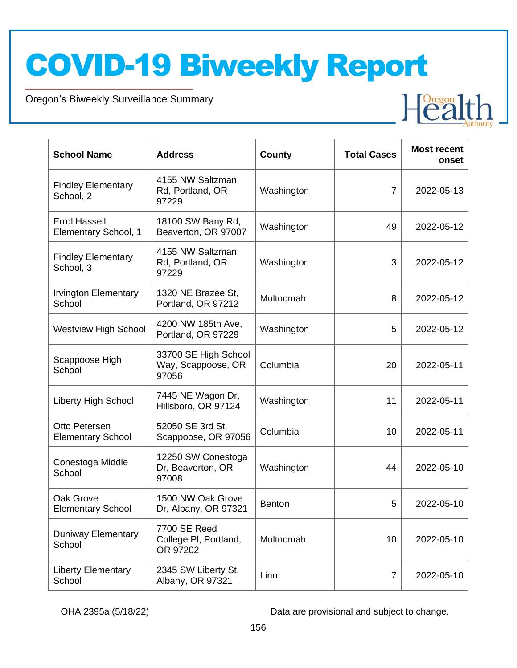Oregon's Biweekly Surveillance Summary

Novel Coronavirus (COVID-19)

| <b>School Name</b>                           | <b>Address</b>                                      | County        | <b>Total Cases</b> | <b>Most recent</b><br>onset |
|----------------------------------------------|-----------------------------------------------------|---------------|--------------------|-----------------------------|
| <b>Findley Elementary</b><br>School, 2       | 4155 NW Saltzman<br>Rd, Portland, OR<br>97229       | Washington    | $\overline{7}$     | 2022-05-13                  |
| <b>Errol Hassell</b><br>Elementary School, 1 | 18100 SW Bany Rd,<br>Beaverton, OR 97007            | Washington    | 49                 | 2022-05-12                  |
| <b>Findley Elementary</b><br>School, 3       | 4155 NW Saltzman<br>Rd, Portland, OR<br>97229       | Washington    | 3                  | 2022-05-12                  |
| <b>Irvington Elementary</b><br>School        | 1320 NE Brazee St,<br>Portland, OR 97212            | Multnomah     | 8                  | 2022-05-12                  |
| <b>Westview High School</b>                  | 4200 NW 185th Ave,<br>Portland, OR 97229            | Washington    | 5                  | 2022-05-12                  |
| Scappoose High<br>School                     | 33700 SE High School<br>Way, Scappoose, OR<br>97056 | Columbia      | 20                 | 2022-05-11                  |
| <b>Liberty High School</b>                   | 7445 NE Wagon Dr,<br>Hillsboro, OR 97124            | Washington    | 11                 | 2022-05-11                  |
| Otto Petersen<br><b>Elementary School</b>    | 52050 SE 3rd St,<br>Scappoose, OR 97056             | Columbia      | 10                 | 2022-05-11                  |
| Conestoga Middle<br>School                   | 12250 SW Conestoga<br>Dr, Beaverton, OR<br>97008    | Washington    | 44                 | 2022-05-10                  |
| Oak Grove<br><b>Elementary School</b>        | 1500 NW Oak Grove<br>Dr, Albany, OR 97321           | <b>Benton</b> | 5                  | 2022-05-10                  |
| <b>Duniway Elementary</b><br>School          | 7700 SE Reed<br>College PI, Portland,<br>OR 97202   | Multnomah     | 10                 | 2022-05-10                  |
| <b>Liberty Elementary</b><br>School          | 2345 SW Liberty St,<br>Albany, OR 97321             | Linn          | $\overline{7}$     | 2022-05-10                  |

OHA 2395a (5/18/22) Data are provisional and subject to change.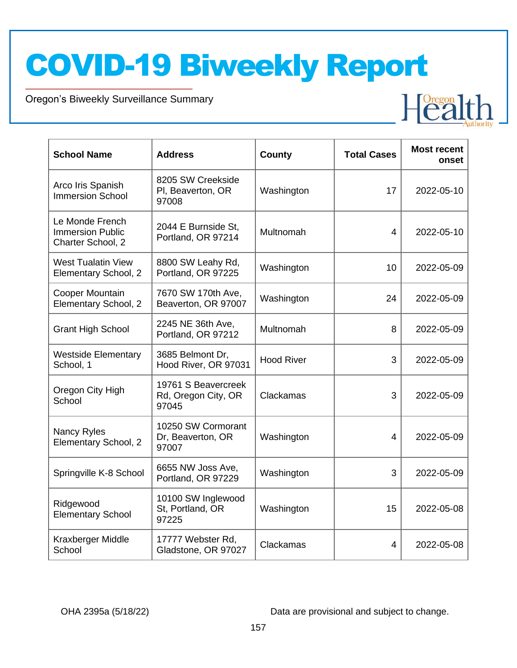Oregon's Biweekly Surveillance Summary

Novel Coronavirus (COVID-19)

| <b>School Name</b>                                              | <b>Address</b>                                      | <b>County</b>     | <b>Total Cases</b> | <b>Most recent</b><br>onset |
|-----------------------------------------------------------------|-----------------------------------------------------|-------------------|--------------------|-----------------------------|
| Arco Iris Spanish<br><b>Immersion School</b>                    | 8205 SW Creekside<br>PI, Beaverton, OR<br>97008     | Washington        | 17                 | 2022-05-10                  |
| Le Monde French<br><b>Immersion Public</b><br>Charter School, 2 | 2044 E Burnside St,<br>Portland, OR 97214           | Multnomah         | $\overline{4}$     | 2022-05-10                  |
| <b>West Tualatin View</b><br>Elementary School, 2               | 8800 SW Leahy Rd,<br>Portland, OR 97225             | Washington        | 10                 | 2022-05-09                  |
| Cooper Mountain<br>Elementary School, 2                         | 7670 SW 170th Ave,<br>Beaverton, OR 97007           | Washington        | 24                 | 2022-05-09                  |
| <b>Grant High School</b>                                        | 2245 NE 36th Ave,<br>Portland, OR 97212             | Multnomah         | 8                  | 2022-05-09                  |
| <b>Westside Elementary</b><br>School, 1                         | 3685 Belmont Dr,<br>Hood River, OR 97031            | <b>Hood River</b> | 3                  | 2022-05-09                  |
| Oregon City High<br>School                                      | 19761 S Beavercreek<br>Rd, Oregon City, OR<br>97045 | Clackamas         | 3                  | 2022-05-09                  |
| Nancy Ryles<br>Elementary School, 2                             | 10250 SW Cormorant<br>Dr, Beaverton, OR<br>97007    | Washington        | 4                  | 2022-05-09                  |
| Springville K-8 School                                          | 6655 NW Joss Ave,<br>Portland, OR 97229             | Washington        | 3                  | 2022-05-09                  |
| Ridgewood<br><b>Elementary School</b>                           | 10100 SW Inglewood<br>St, Portland, OR<br>97225     | Washington        | 15                 | 2022-05-08                  |
| Kraxberger Middle<br>School                                     | 17777 Webster Rd,<br>Gladstone, OR 97027            | Clackamas         | 4                  | 2022-05-08                  |

OHA 2395a (5/18/22) Data are provisional and subject to change.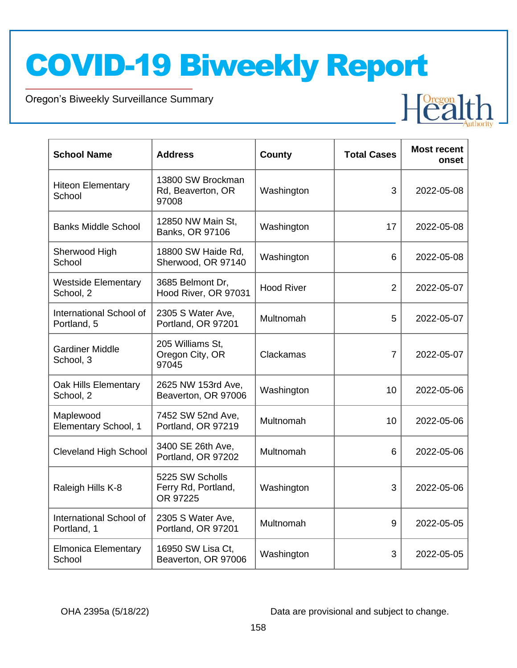Oregon's Biweekly Surveillance Summary

Novel Coronavirus (COVID-19)

| <b>School Name</b>                      | <b>Address</b>                                     | County            | <b>Total Cases</b> | <b>Most recent</b><br>onset |
|-----------------------------------------|----------------------------------------------------|-------------------|--------------------|-----------------------------|
| <b>Hiteon Elementary</b><br>School      | 13800 SW Brockman<br>Rd, Beaverton, OR<br>97008    | Washington        | 3                  | 2022-05-08                  |
| <b>Banks Middle School</b>              | 12850 NW Main St,<br>Banks, OR 97106               | Washington        | 17                 | 2022-05-08                  |
| Sherwood High<br>School                 | 18800 SW Haide Rd,<br>Sherwood, OR 97140           | Washington        | 6                  | 2022-05-08                  |
| <b>Westside Elementary</b><br>School, 2 | 3685 Belmont Dr,<br>Hood River, OR 97031           | <b>Hood River</b> | $\overline{2}$     | 2022-05-07                  |
| International School of<br>Portland, 5  | 2305 S Water Ave,<br>Portland, OR 97201            | Multnomah         | 5                  | 2022-05-07                  |
| <b>Gardiner Middle</b><br>School, 3     | 205 Williams St.<br>Oregon City, OR<br>97045       | Clackamas         | $\overline{7}$     | 2022-05-07                  |
| Oak Hills Elementary<br>School, 2       | 2625 NW 153rd Ave,<br>Beaverton, OR 97006          | Washington        | 10                 | 2022-05-06                  |
| Maplewood<br>Elementary School, 1       | 7452 SW 52nd Ave,<br>Portland, OR 97219            | Multnomah         | 10 <sup>1</sup>    | 2022-05-06                  |
| <b>Cleveland High School</b>            | 3400 SE 26th Ave,<br>Portland, OR 97202            | Multnomah         | 6                  | 2022-05-06                  |
| Raleigh Hills K-8                       | 5225 SW Scholls<br>Ferry Rd, Portland,<br>OR 97225 | Washington        | 3                  | 2022-05-06                  |
| International School of<br>Portland, 1  | 2305 S Water Ave,<br>Portland, OR 97201            | Multnomah         | 9                  | 2022-05-05                  |
| <b>Elmonica Elementary</b><br>School    | 16950 SW Lisa Ct,<br>Beaverton, OR 97006           | Washington        | 3                  | 2022-05-05                  |

OHA 2395a (5/18/22) Data are provisional and subject to change.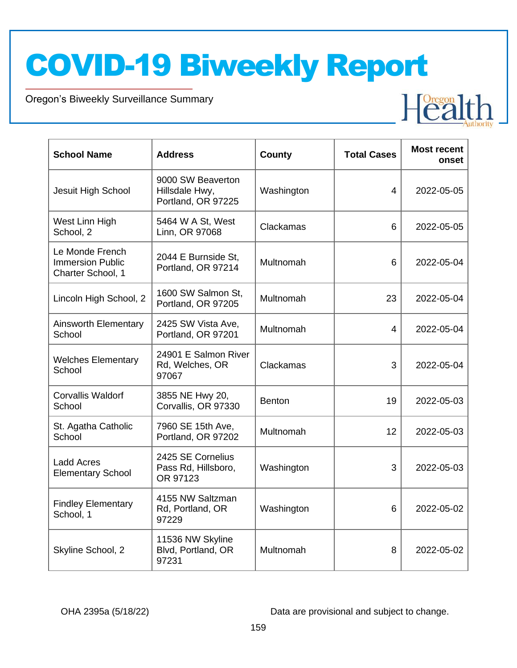Oregon's Biweekly Surveillance Summary

Novel Coronavirus (COVID-19)

| <b>School Name</b>                                              | <b>Address</b>                                            | <b>County</b> | <b>Total Cases</b> | <b>Most recent</b><br>onset |
|-----------------------------------------------------------------|-----------------------------------------------------------|---------------|--------------------|-----------------------------|
| Jesuit High School                                              | 9000 SW Beaverton<br>Hillsdale Hwy,<br>Portland, OR 97225 | Washington    | 4                  | 2022-05-05                  |
| West Linn High<br>School, 2                                     | 5464 W A St, West<br>Linn, OR 97068                       | Clackamas     | 6                  | 2022-05-05                  |
| Le Monde French<br><b>Immersion Public</b><br>Charter School, 1 | 2044 E Burnside St,<br>Portland, OR 97214                 | Multnomah     | 6                  | 2022-05-04                  |
| Lincoln High School, 2                                          | 1600 SW Salmon St,<br>Portland, OR 97205                  | Multnomah     | 23                 | 2022-05-04                  |
| <b>Ainsworth Elementary</b><br>School                           | 2425 SW Vista Ave,<br>Portland, OR 97201                  | Multnomah     | 4                  | 2022-05-04                  |
| <b>Welches Elementary</b><br>School                             | 24901 E Salmon River<br>Rd, Welches, OR<br>97067          | Clackamas     | 3                  | 2022-05-04                  |
| <b>Corvallis Waldorf</b><br>School                              | 3855 NE Hwy 20,<br>Corvallis, OR 97330                    | <b>Benton</b> | 19                 | 2022-05-03                  |
| St. Agatha Catholic<br>School                                   | 7960 SE 15th Ave,<br>Portland, OR 97202                   | Multnomah     | 12 <sup>2</sup>    | 2022-05-03                  |
| <b>Ladd Acres</b><br><b>Elementary School</b>                   | 2425 SE Cornelius<br>Pass Rd, Hillsboro,<br>OR 97123      | Washington    | 3                  | 2022-05-03                  |
| <b>Findley Elementary</b><br>School, 1                          | 4155 NW Saltzman<br>Rd, Portland, OR<br>97229             | Washington    | 6                  | 2022-05-02                  |
| Skyline School, 2                                               | 11536 NW Skyline<br>Blvd, Portland, OR<br>97231           | Multnomah     | 8                  | 2022-05-02                  |

OHA 2395a (5/18/22) Data are provisional and subject to change.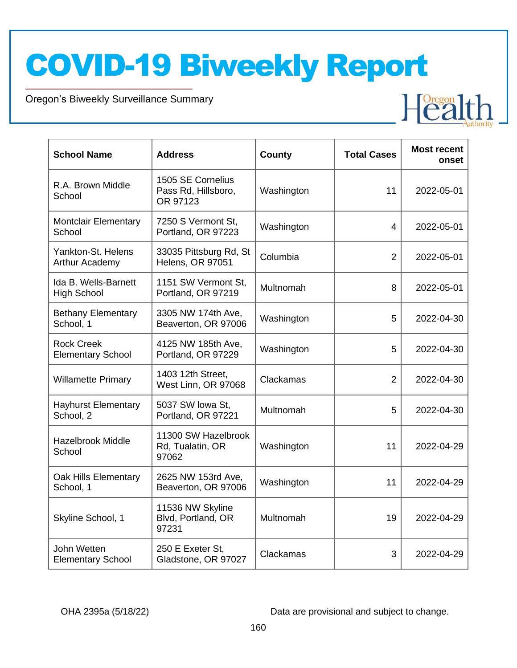Oregon's Biweekly Surveillance Summary

Novel Coronavirus (COVID-19)

| <b>School Name</b>                            | <b>Address</b>                                       | <b>County</b> | <b>Total Cases</b> | <b>Most recent</b><br>onset |
|-----------------------------------------------|------------------------------------------------------|---------------|--------------------|-----------------------------|
| R.A. Brown Middle<br>School                   | 1505 SE Cornelius<br>Pass Rd, Hillsboro,<br>OR 97123 | Washington    | 11                 | 2022-05-01                  |
| <b>Montclair Elementary</b><br>School         | 7250 S Vermont St,<br>Portland, OR 97223             | Washington    | 4                  | 2022-05-01                  |
| Yankton-St. Helens<br>Arthur Academy          | 33035 Pittsburg Rd, St<br><b>Helens, OR 97051</b>    | Columbia      | $\overline{2}$     | 2022-05-01                  |
| Ida B. Wells-Barnett<br><b>High School</b>    | 1151 SW Vermont St,<br>Portland, OR 97219            | Multnomah     | 8                  | 2022-05-01                  |
| <b>Bethany Elementary</b><br>School, 1        | 3305 NW 174th Ave,<br>Beaverton, OR 97006            | Washington    | 5                  | 2022-04-30                  |
| <b>Rock Creek</b><br><b>Elementary School</b> | 4125 NW 185th Ave,<br>Portland, OR 97229             | Washington    | 5                  | 2022-04-30                  |
| <b>Willamette Primary</b>                     | 1403 12th Street,<br>West Linn, OR 97068             | Clackamas     | $\overline{2}$     | 2022-04-30                  |
| <b>Hayhurst Elementary</b><br>School, 2       | 5037 SW lowa St,<br>Portland, OR 97221               | Multnomah     | 5                  | 2022-04-30                  |
| <b>Hazelbrook Middle</b><br>School            | 11300 SW Hazelbrook<br>Rd, Tualatin, OR<br>97062     | Washington    | 11                 | 2022-04-29                  |
| Oak Hills Elementary<br>School, 1             | 2625 NW 153rd Ave,<br>Beaverton, OR 97006            | Washington    | 11                 | 2022-04-29                  |
| Skyline School, 1                             | 11536 NW Skyline<br>Blvd, Portland, OR<br>97231      | Multnomah     | 19                 | 2022-04-29                  |
| John Wetten<br><b>Elementary School</b>       | 250 E Exeter St,<br>Gladstone, OR 97027              | Clackamas     | 3                  | 2022-04-29                  |

OHA 2395a (5/18/22) Data are provisional and subject to change.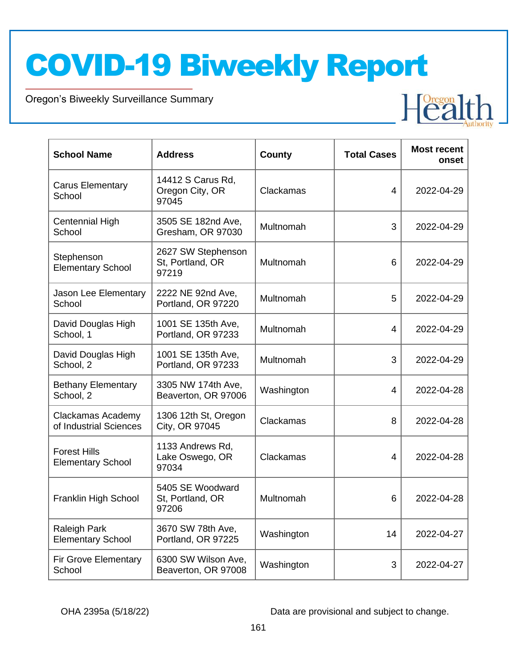Oregon's Biweekly Surveillance Summary

Novel Coronavirus (COVID-19)

| <b>School Name</b>                                 | <b>Address</b>                                  | County     | <b>Total Cases</b> | <b>Most recent</b><br>onset |
|----------------------------------------------------|-------------------------------------------------|------------|--------------------|-----------------------------|
| <b>Carus Elementary</b><br>School                  | 14412 S Carus Rd,<br>Oregon City, OR<br>97045   | Clackamas  | 4                  | 2022-04-29                  |
| Centennial High<br>School                          | 3505 SE 182nd Ave,<br>Gresham, OR 97030         | Multnomah  | 3                  | 2022-04-29                  |
| Stephenson<br><b>Elementary School</b>             | 2627 SW Stephenson<br>St, Portland, OR<br>97219 | Multnomah  | 6                  | 2022-04-29                  |
| Jason Lee Elementary<br>School                     | 2222 NE 92nd Ave,<br>Portland, OR 97220         | Multnomah  | 5                  | 2022-04-29                  |
| David Douglas High<br>School, 1                    | 1001 SE 135th Ave,<br>Portland, OR 97233        | Multnomah  | 4                  | 2022-04-29                  |
| David Douglas High<br>School, 2                    | 1001 SE 135th Ave,<br>Portland, OR 97233        | Multnomah  | 3                  | 2022-04-29                  |
| <b>Bethany Elementary</b><br>School, 2             | 3305 NW 174th Ave,<br>Beaverton, OR 97006       | Washington | 4                  | 2022-04-28                  |
| <b>Clackamas Academy</b><br>of Industrial Sciences | 1306 12th St, Oregon<br>City, OR 97045          | Clackamas  | 8                  | 2022-04-28                  |
| <b>Forest Hills</b><br><b>Elementary School</b>    | 1133 Andrews Rd,<br>Lake Oswego, OR<br>97034    | Clackamas  | 4                  | 2022-04-28                  |
| Franklin High School                               | 5405 SE Woodward<br>St, Portland, OR<br>97206   | Multnomah  | 6                  | 2022-04-28                  |
| Raleigh Park<br><b>Elementary School</b>           | 3670 SW 78th Ave,<br>Portland, OR 97225         | Washington | 14                 | 2022-04-27                  |
| <b>Fir Grove Elementary</b><br>School              | 6300 SW Wilson Ave,<br>Beaverton, OR 97008      | Washington | 3                  | 2022-04-27                  |

OHA 2395a (5/18/22) Data are provisional and subject to change.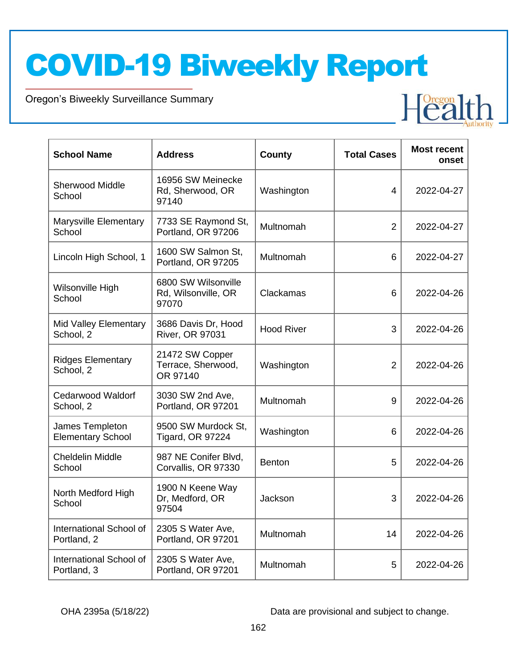Oregon's Biweekly Surveillance Summary

Novel Coronavirus (COVID-19)

| <b>School Name</b>                          | <b>Address</b>                                      | County            | <b>Total Cases</b> | <b>Most recent</b><br>onset |
|---------------------------------------------|-----------------------------------------------------|-------------------|--------------------|-----------------------------|
| <b>Sherwood Middle</b><br>School            | 16956 SW Meinecke<br>Rd, Sherwood, OR<br>97140      | Washington        | 4                  | 2022-04-27                  |
| Marysville Elementary<br>School             | 7733 SE Raymond St,<br>Portland, OR 97206           | Multnomah         | $\overline{2}$     | 2022-04-27                  |
| Lincoln High School, 1                      | 1600 SW Salmon St,<br>Portland, OR 97205            | Multnomah         | 6                  | 2022-04-27                  |
| Wilsonville High<br>School                  | 6800 SW Wilsonville<br>Rd, Wilsonville, OR<br>97070 | Clackamas         | 6                  | 2022-04-26                  |
| Mid Valley Elementary<br>School, 2          | 3686 Davis Dr, Hood<br><b>River, OR 97031</b>       | <b>Hood River</b> | 3                  | 2022-04-26                  |
| <b>Ridges Elementary</b><br>School, 2       | 21472 SW Copper<br>Terrace, Sherwood,<br>OR 97140   | Washington        | $\overline{2}$     | 2022-04-26                  |
| <b>Cedarwood Waldorf</b><br>School, 2       | 3030 SW 2nd Ave,<br>Portland, OR 97201              | Multnomah         | 9                  | 2022-04-26                  |
| James Templeton<br><b>Elementary School</b> | 9500 SW Murdock St,<br><b>Tigard, OR 97224</b>      | Washington        | 6                  | 2022-04-26                  |
| <b>Cheldelin Middle</b><br>School           | 987 NE Conifer Blvd,<br>Corvallis, OR 97330         | <b>Benton</b>     | 5                  | 2022-04-26                  |
| North Medford High<br>School                | 1900 N Keene Way<br>Dr, Medford, OR<br>97504        | Jackson           | 3                  | 2022-04-26                  |
| International School of<br>Portland, 2      | 2305 S Water Ave,<br>Portland, OR 97201             | Multnomah         | 14                 | 2022-04-26                  |
| International School of<br>Portland, 3      | 2305 S Water Ave,<br>Portland, OR 97201             | Multnomah         | 5                  | 2022-04-26                  |

OHA 2395a (5/18/22) Data are provisional and subject to change.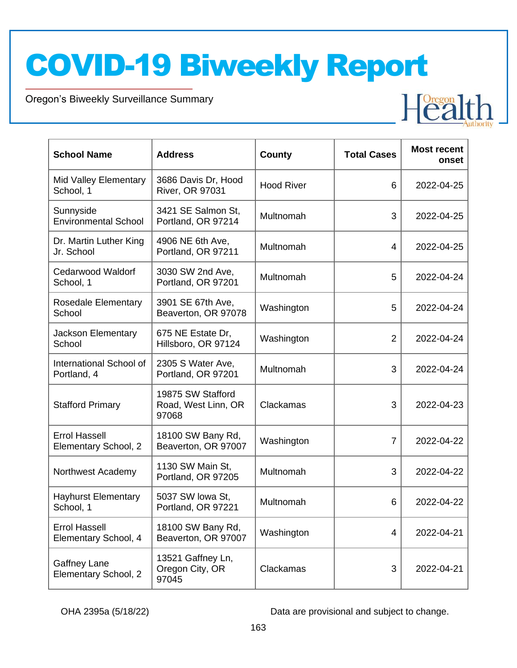Oregon's Biweekly Surveillance Summary

Novel Coronavirus (COVID-19)

| <b>School Name</b>                           | <b>Address</b>                                    | County            | <b>Total Cases</b> | <b>Most recent</b><br>onset |
|----------------------------------------------|---------------------------------------------------|-------------------|--------------------|-----------------------------|
| Mid Valley Elementary<br>School, 1           | 3686 Davis Dr, Hood<br><b>River, OR 97031</b>     | <b>Hood River</b> | 6                  | 2022-04-25                  |
| Sunnyside<br><b>Environmental School</b>     | 3421 SE Salmon St,<br>Portland, OR 97214          | Multnomah         | 3                  | 2022-04-25                  |
| Dr. Martin Luther King<br>Jr. School         | 4906 NE 6th Ave,<br>Portland, OR 97211            | Multnomah         | 4                  | 2022-04-25                  |
| <b>Cedarwood Waldorf</b><br>School, 1        | 3030 SW 2nd Ave,<br>Portland, OR 97201            | Multnomah         | 5                  | 2022-04-24                  |
| Rosedale Elementary<br>School                | 3901 SE 67th Ave,<br>Beaverton, OR 97078          | Washington        | 5                  | 2022-04-24                  |
| Jackson Elementary<br>School                 | 675 NE Estate Dr,<br>Hillsboro, OR 97124          | Washington        | $\overline{2}$     | 2022-04-24                  |
| International School of<br>Portland, 4       | 2305 S Water Ave,<br>Portland, OR 97201           | Multnomah         | 3                  | 2022-04-24                  |
| <b>Stafford Primary</b>                      | 19875 SW Stafford<br>Road, West Linn, OR<br>97068 | Clackamas         | 3                  | 2022-04-23                  |
| <b>Errol Hassell</b><br>Elementary School, 2 | 18100 SW Bany Rd,<br>Beaverton, OR 97007          | Washington        | $\overline{7}$     | 2022-04-22                  |
| Northwest Academy                            | 1130 SW Main St,<br>Portland, OR 97205            | Multnomah         | 3                  | 2022-04-22                  |
| <b>Hayhurst Elementary</b><br>School, 1      | 5037 SW Iowa St,<br>Portland, OR 97221            | Multnomah         | 6                  | 2022-04-22                  |
| <b>Errol Hassell</b><br>Elementary School, 4 | 18100 SW Bany Rd,<br>Beaverton, OR 97007          | Washington        | 4                  | 2022-04-21                  |
| Gaffney Lane<br>Elementary School, 2         | 13521 Gaffney Ln,<br>Oregon City, OR<br>97045     | Clackamas         | 3                  | 2022-04-21                  |

OHA 2395a (5/18/22) Data are provisional and subject to change.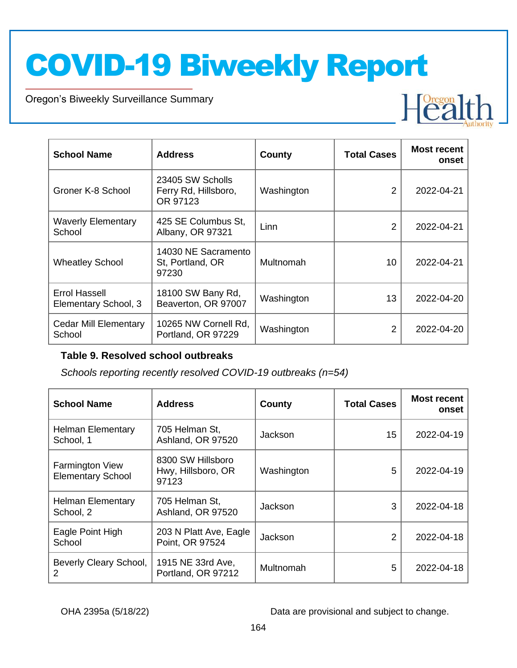Oregon's Biweekly Surveillance Summary

Novel Coronavirus (COVID-19)

| <b>School Name</b>                           | <b>Address</b>                                       | County     | <b>Total Cases</b> | <b>Most recent</b><br>onset |
|----------------------------------------------|------------------------------------------------------|------------|--------------------|-----------------------------|
| Groner K-8 School                            | 23405 SW Scholls<br>Ferry Rd, Hillsboro,<br>OR 97123 | Washington | 2                  | 2022-04-21                  |
| <b>Waverly Elementary</b><br>School          | 425 SE Columbus St,<br>Albany, OR 97321              | Linn       | $\mathfrak{p}$     | 2022-04-21                  |
| <b>Wheatley School</b>                       | 14030 NE Sacramento<br>St. Portland, OR<br>97230     | Multnomah  | 10                 | 2022-04-21                  |
| <b>Errol Hassell</b><br>Elementary School, 3 | 18100 SW Bany Rd,<br>Beaverton, OR 97007             | Washington | 13                 | 2022-04-20                  |
| Cedar Mill Elementary<br>School              | 10265 NW Cornell Rd,<br>Portland, OR 97229           | Washington | 2                  | 2022-04-20                  |

#### **Table 9. Resolved school outbreaks**

*Schools reporting recently resolved COVID-19 outbreaks (n=54)*

| <b>School Name</b>                                 | <b>Address</b>                                   | County     | <b>Total Cases</b> | <b>Most recent</b><br>onset |
|----------------------------------------------------|--------------------------------------------------|------------|--------------------|-----------------------------|
| <b>Helman Elementary</b><br>School, 1              | 705 Helman St,<br>Ashland, OR 97520              | Jackson    | 15                 | 2022-04-19                  |
| <b>Farmington View</b><br><b>Elementary School</b> | 8300 SW Hillsboro<br>Hwy, Hillsboro, OR<br>97123 | Washington | 5                  | 2022-04-19                  |
| <b>Helman Elementary</b><br>School, 2              | 705 Helman St,<br>Ashland, OR 97520              | Jackson    | 3                  | 2022-04-18                  |
| Eagle Point High<br>School                         | 203 N Platt Ave, Eagle<br>Point, OR 97524        | Jackson    | 2                  | 2022-04-18                  |
| Beverly Cleary School,<br>2                        | 1915 NE 33rd Ave,<br>Portland, OR 97212          | Multnomah  | 5                  | 2022-04-18                  |

OHA 2395a (5/18/22) Data are provisional and subject to change.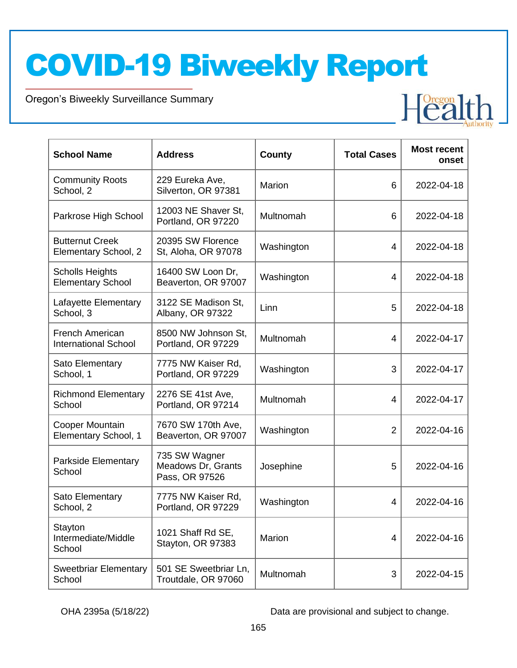Oregon's Biweekly Surveillance Summary

Novel Coronavirus (COVID-19)

| <b>School Name</b>                                 | <b>Address</b>                                        | County     | <b>Total Cases</b> | <b>Most recent</b><br>onset |
|----------------------------------------------------|-------------------------------------------------------|------------|--------------------|-----------------------------|
| <b>Community Roots</b><br>School, 2                | 229 Eureka Ave,<br>Silverton, OR 97381                | Marion     | 6                  | 2022-04-18                  |
| Parkrose High School                               | 12003 NE Shaver St,<br>Portland, OR 97220             | Multnomah  | 6                  | 2022-04-18                  |
| <b>Butternut Creek</b><br>Elementary School, 2     | 20395 SW Florence<br>St, Aloha, OR 97078              | Washington | 4                  | 2022-04-18                  |
| <b>Scholls Heights</b><br><b>Elementary School</b> | 16400 SW Loon Dr,<br>Beaverton, OR 97007              | Washington | 4                  | 2022-04-18                  |
| Lafayette Elementary<br>School, 3                  | 3122 SE Madison St,<br>Albany, OR 97322               | Linn       | 5                  | 2022-04-18                  |
| French American<br><b>International School</b>     | 8500 NW Johnson St,<br>Portland, OR 97229             | Multnomah  | 4                  | 2022-04-17                  |
| Sato Elementary<br>School, 1                       | 7775 NW Kaiser Rd,<br>Portland, OR 97229              | Washington | 3                  | 2022-04-17                  |
| <b>Richmond Elementary</b><br>School               | 2276 SE 41st Ave,<br>Portland, OR 97214               | Multnomah  | 4                  | 2022-04-17                  |
| <b>Cooper Mountain</b><br>Elementary School, 1     | 7670 SW 170th Ave,<br>Beaverton, OR 97007             | Washington | $\overline{2}$     | 2022-04-16                  |
| Parkside Elementary<br>School                      | 735 SW Wagner<br>Meadows Dr, Grants<br>Pass, OR 97526 | Josephine  | 5                  | 2022-04-16                  |
| Sato Elementary<br>School, 2                       | 7775 NW Kaiser Rd,<br>Portland, OR 97229              | Washington | 4                  | 2022-04-16                  |
| Stayton<br>Intermediate/Middle<br>School           | 1021 Shaff Rd SE,<br>Stayton, OR 97383                | Marion     | 4                  | 2022-04-16                  |
| <b>Sweetbriar Elementary</b><br>School             | 501 SE Sweetbriar Ln,<br>Troutdale, OR 97060          | Multnomah  | 3                  | 2022-04-15                  |

OHA 2395a (5/18/22) Data are provisional and subject to change.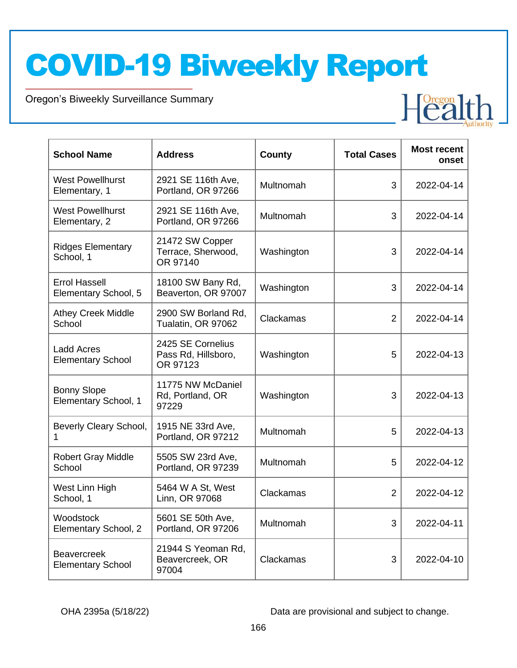Oregon's Biweekly Surveillance Summary

Novel Coronavirus (COVID-19)

| <b>School Name</b>                             | <b>Address</b>                                       | County     | <b>Total Cases</b> | <b>Most recent</b><br>onset |
|------------------------------------------------|------------------------------------------------------|------------|--------------------|-----------------------------|
| <b>West Powellhurst</b><br>Elementary, 1       | 2921 SE 116th Ave,<br>Portland, OR 97266             | Multnomah  | 3                  | 2022-04-14                  |
| <b>West Powellhurst</b><br>Elementary, 2       | 2921 SE 116th Ave,<br>Portland, OR 97266             | Multnomah  | 3                  | 2022-04-14                  |
| <b>Ridges Elementary</b><br>School, 1          | 21472 SW Copper<br>Terrace, Sherwood,<br>OR 97140    | Washington | 3                  | 2022-04-14                  |
| <b>Errol Hassell</b><br>Elementary School, 5   | 18100 SW Bany Rd,<br>Beaverton, OR 97007             | Washington | 3                  | 2022-04-14                  |
| <b>Athey Creek Middle</b><br>School            | 2900 SW Borland Rd,<br>Tualatin, OR 97062            | Clackamas  | 2                  | 2022-04-14                  |
| <b>Ladd Acres</b><br><b>Elementary School</b>  | 2425 SE Cornelius<br>Pass Rd, Hillsboro,<br>OR 97123 | Washington | 5                  | 2022-04-13                  |
| <b>Bonny Slope</b><br>Elementary School, 1     | 11775 NW McDaniel<br>Rd, Portland, OR<br>97229       | Washington | 3                  | 2022-04-13                  |
| Beverly Cleary School,<br>1                    | 1915 NE 33rd Ave,<br>Portland, OR 97212              | Multnomah  | 5                  | 2022-04-13                  |
| <b>Robert Gray Middle</b><br>School            | 5505 SW 23rd Ave,<br>Portland, OR 97239              | Multnomah  | 5                  | 2022-04-12                  |
| West Linn High<br>School, 1                    | 5464 W A St, West<br>Linn, OR 97068                  | Clackamas  | $\overline{2}$     | 2022-04-12                  |
| Woodstock<br>Elementary School, 2              | 5601 SE 50th Ave,<br>Portland, OR 97206              | Multnomah  | 3                  | 2022-04-11                  |
| <b>Beavercreek</b><br><b>Elementary School</b> | 21944 S Yeoman Rd,<br>Beavercreek, OR<br>97004       | Clackamas  | 3                  | 2022-04-10                  |

OHA 2395a (5/18/22) Data are provisional and subject to change.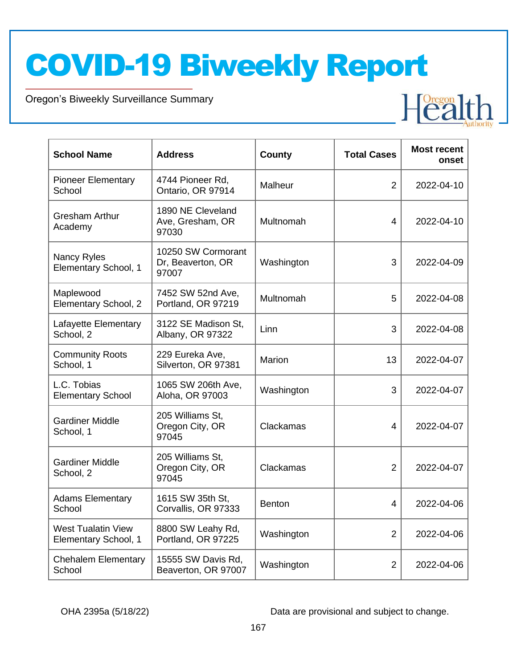Oregon's Biweekly Surveillance Summary

Novel Coronavirus (COVID-19)

| <b>School Name</b>                                | <b>Address</b>                                   | <b>County</b> | <b>Total Cases</b> | <b>Most recent</b><br>onset |
|---------------------------------------------------|--------------------------------------------------|---------------|--------------------|-----------------------------|
| <b>Pioneer Elementary</b><br>School               | 4744 Pioneer Rd,<br>Ontario, OR 97914            | Malheur       | $\overline{2}$     | 2022-04-10                  |
| <b>Gresham Arthur</b><br>Academy                  | 1890 NE Cleveland<br>Ave, Gresham, OR<br>97030   | Multnomah     | 4                  | 2022-04-10                  |
| Nancy Ryles<br>Elementary School, 1               | 10250 SW Cormorant<br>Dr, Beaverton, OR<br>97007 | Washington    | 3                  | 2022-04-09                  |
| Maplewood<br>Elementary School, 2                 | 7452 SW 52nd Ave,<br>Portland, OR 97219          | Multnomah     | 5                  | 2022-04-08                  |
| Lafayette Elementary<br>School, 2                 | 3122 SE Madison St,<br>Albany, OR 97322          | Linn          | 3                  | 2022-04-08                  |
| <b>Community Roots</b><br>School, 1               | 229 Eureka Ave,<br>Silverton, OR 97381           | <b>Marion</b> | 13                 | 2022-04-07                  |
| L.C. Tobias<br><b>Elementary School</b>           | 1065 SW 206th Ave,<br>Aloha, OR 97003            | Washington    | 3                  | 2022-04-07                  |
| <b>Gardiner Middle</b><br>School, 1               | 205 Williams St,<br>Oregon City, OR<br>97045     | Clackamas     | 4                  | 2022-04-07                  |
| <b>Gardiner Middle</b><br>School, 2               | 205 Williams St,<br>Oregon City, OR<br>97045     | Clackamas     | $\overline{2}$     | 2022-04-07                  |
| <b>Adams Elementary</b><br>School                 | 1615 SW 35th St,<br>Corvallis, OR 97333          | <b>Benton</b> | 4                  | 2022-04-06                  |
| <b>West Tualatin View</b><br>Elementary School, 1 | 8800 SW Leahy Rd,<br>Portland, OR 97225          | Washington    | $\overline{2}$     | 2022-04-06                  |
| <b>Chehalem Elementary</b><br>School              | 15555 SW Davis Rd,<br>Beaverton, OR 97007        | Washington    | $\overline{2}$     | 2022-04-06                  |

OHA 2395a (5/18/22) Data are provisional and subject to change.